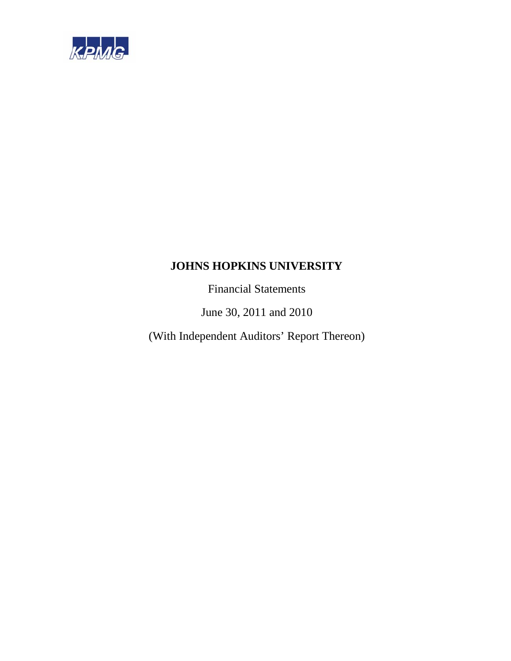

Financial Statements

June 30, 2011 and 2010

(With Independent Auditors' Report Thereon)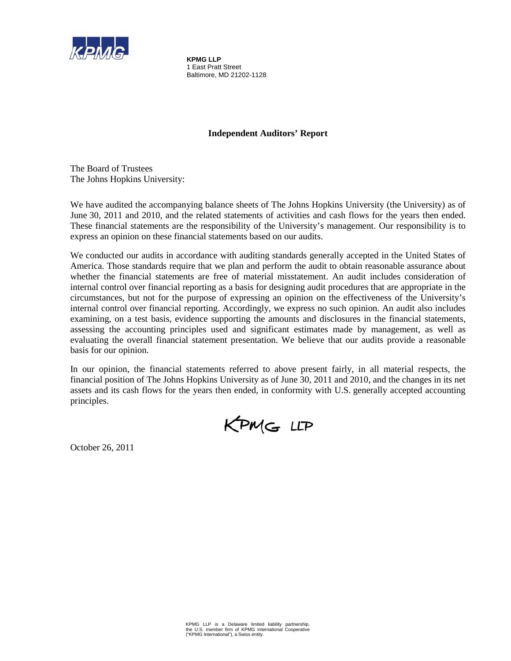

**KPMG LLP**  1 East Pratt Street Baltimore, MD 21202-1128

## **Independent Auditors' Report**

The Board of Trustees The Johns Hopkins University:

We have audited the accompanying balance sheets of The Johns Hopkins University (the University) as of June 30, 2011 and 2010, and the related statements of activities and cash flows for the years then ended. These financial statements are the responsibility of the University's management. Our responsibility is to express an opinion on these financial statements based on our audits.

We conducted our audits in accordance with auditing standards generally accepted in the United States of America. Those standards require that we plan and perform the audit to obtain reasonable assurance about whether the financial statements are free of material misstatement. An audit includes consideration of internal control over financial reporting as a basis for designing audit procedures that are appropriate in the circumstances, but not for the purpose of expressing an opinion on the effectiveness of the University's internal control over financial reporting. Accordingly, we express no such opinion. An audit also includes examining, on a test basis, evidence supporting the amounts and disclosures in the financial statements, assessing the accounting principles used and significant estimates made by management, as well as evaluating the overall financial statement presentation. We believe that our audits provide a reasonable basis for our opinion.

In our opinion, the financial statements referred to above present fairly, in all material respects, the financial position of The Johns Hopkins University as of June 30, 2011 and 2010, and the changes in its net assets and its cash flows for the years then ended, in conformity with U.S. generally accepted accounting principles.

KPMG LLP

October 26, 2011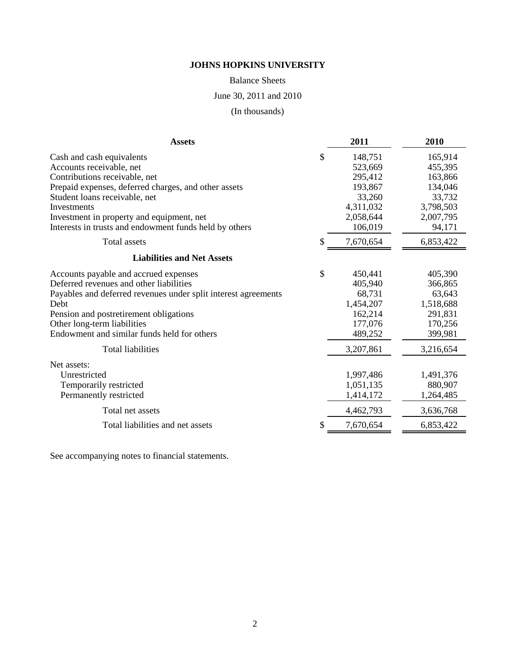Balance Sheets

June 30, 2011 and 2010

(In thousands)

| <b>Assets</b>                                                                                                                                                                                                                                                                                         |    | 2011                                                                                    | 2010                                                                                   |
|-------------------------------------------------------------------------------------------------------------------------------------------------------------------------------------------------------------------------------------------------------------------------------------------------------|----|-----------------------------------------------------------------------------------------|----------------------------------------------------------------------------------------|
| Cash and cash equivalents<br>Accounts receivable, net<br>Contributions receivable, net<br>Prepaid expenses, deferred charges, and other assets<br>Student loans receivable, net<br>Investments<br>Investment in property and equipment, net<br>Interests in trusts and endowment funds held by others | \$ | 148,751<br>523,669<br>295,412<br>193,867<br>33,260<br>4,311,032<br>2,058,644<br>106,019 | 165,914<br>455,395<br>163,866<br>134,046<br>33,732<br>3,798,503<br>2,007,795<br>94,171 |
| <b>Total</b> assets                                                                                                                                                                                                                                                                                   | S  | 7,670,654                                                                               | 6,853,422                                                                              |
| <b>Liabilities and Net Assets</b>                                                                                                                                                                                                                                                                     |    |                                                                                         |                                                                                        |
| Accounts payable and accrued expenses<br>Deferred revenues and other liabilities<br>Payables and deferred revenues under split interest agreements<br><b>Debt</b><br>Pension and postretirement obligations<br>Other long-term liabilities<br>Endowment and similar funds held for others             | \$ | 450,441<br>405,940<br>68,731<br>1,454,207<br>162,214<br>177,076<br>489,252              | 405,390<br>366,865<br>63,643<br>1,518,688<br>291,831<br>170,256<br>399,981             |
| <b>Total liabilities</b><br>Net assets:<br>Unrestricted<br>Temporarily restricted<br>Permanently restricted                                                                                                                                                                                           |    | 3,207,861<br>1,997,486<br>1,051,135<br>1,414,172                                        | 3,216,654<br>1,491,376<br>880,907<br>1,264,485                                         |
| Total net assets                                                                                                                                                                                                                                                                                      |    | 4,462,793                                                                               | 3,636,768                                                                              |
| Total liabilities and net assets                                                                                                                                                                                                                                                                      |    | 7,670,654                                                                               | 6,853,422                                                                              |

See accompanying notes to financial statements.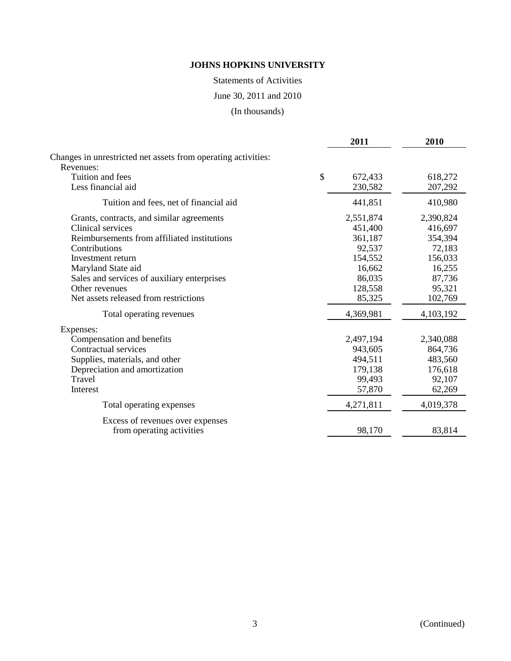Statements of Activities

June 30, 2011 and 2010

(In thousands)

|                                                               | 2011          | 2010      |
|---------------------------------------------------------------|---------------|-----------|
| Changes in unrestricted net assets from operating activities: |               |           |
| Revenues:                                                     |               |           |
| Tuition and fees                                              | \$<br>672,433 | 618,272   |
| Less financial aid                                            | 230,582       | 207,292   |
| Tuition and fees, net of financial aid                        | 441,851       | 410,980   |
| Grants, contracts, and similar agreements                     | 2,551,874     | 2,390,824 |
| Clinical services                                             | 451,400       | 416,697   |
| Reimbursements from affiliated institutions                   | 361,187       | 354,394   |
| Contributions                                                 | 92,537        | 72,183    |
| Investment return                                             | 154,552       | 156,033   |
| Maryland State aid                                            | 16,662        | 16,255    |
| Sales and services of auxiliary enterprises                   | 86,035        | 87,736    |
| Other revenues                                                | 128,558       | 95,321    |
| Net assets released from restrictions                         | 85,325        | 102,769   |
| Total operating revenues                                      | 4,369,981     | 4,103,192 |
| Expenses:                                                     |               |           |
| Compensation and benefits                                     | 2,497,194     | 2,340,088 |
| Contractual services                                          | 943,605       | 864,736   |
| Supplies, materials, and other                                | 494,511       | 483,560   |
| Depreciation and amortization                                 | 179,138       | 176,618   |
| Travel                                                        | 99,493        | 92,107    |
| Interest                                                      | 57,870        | 62,269    |
| Total operating expenses                                      | 4,271,811     | 4,019,378 |
| Excess of revenues over expenses                              |               |           |
| from operating activities                                     | 98,170        | 83,814    |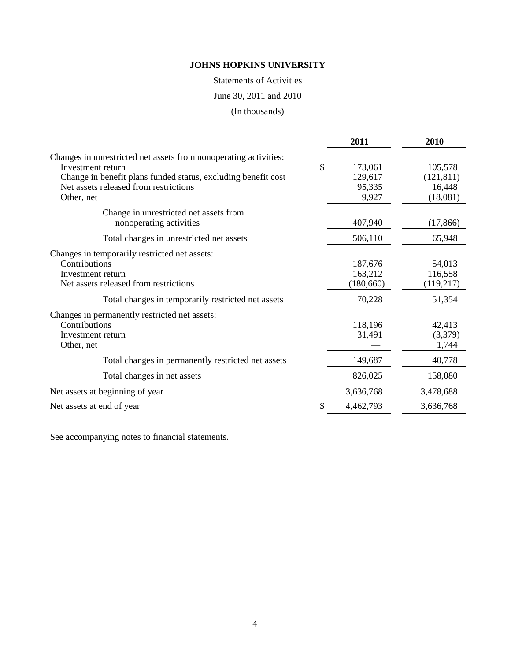Statements of Activities

June 30, 2011 and 2010

(In thousands)

|                                                                                                                                                                                                 | 2011                               | 2010                            |
|-------------------------------------------------------------------------------------------------------------------------------------------------------------------------------------------------|------------------------------------|---------------------------------|
| Changes in unrestricted net assets from nonoperating activities:<br>Investment return<br>Change in benefit plans funded status, excluding benefit cost<br>Net assets released from restrictions | \$<br>173,061<br>129,617<br>95,335 | 105,578<br>(121, 811)<br>16,448 |
| Other, net                                                                                                                                                                                      | 9,927                              | (18,081)                        |
| Change in unrestricted net assets from<br>nonoperating activities                                                                                                                               | 407,940                            | (17, 866)                       |
| Total changes in unrestricted net assets                                                                                                                                                        | 506,110                            | 65,948                          |
| Changes in temporarily restricted net assets:<br>Contributions<br>Investment return<br>Net assets released from restrictions                                                                    | 187,676<br>163,212<br>(180, 660)   | 54,013<br>116,558<br>(119,217)  |
| Total changes in temporarily restricted net assets                                                                                                                                              | 170,228                            | 51,354                          |
| Changes in permanently restricted net assets:<br>Contributions<br>Investment return<br>Other, net                                                                                               | 118,196<br>31,491                  | 42,413<br>(3,379)<br>1,744      |
| Total changes in permanently restricted net assets                                                                                                                                              | 149,687                            | 40,778                          |
| Total changes in net assets                                                                                                                                                                     | 826,025                            | 158,080                         |
| Net assets at beginning of year                                                                                                                                                                 | 3,636,768                          | 3,478,688                       |
| Net assets at end of year                                                                                                                                                                       | 4,462,793                          | 3,636,768                       |

See accompanying notes to financial statements.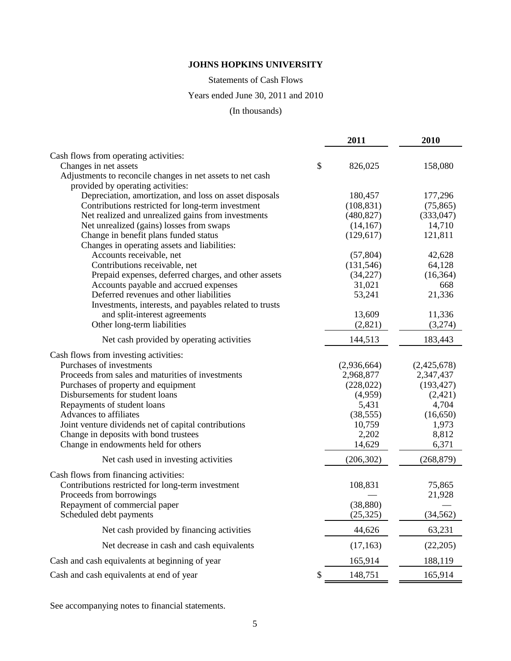Statements of Cash Flows

# Years ended June 30, 2011 and 2010

# (In thousands)

|                                                            | 2011          | 2010        |
|------------------------------------------------------------|---------------|-------------|
| Cash flows from operating activities:                      |               |             |
| Changes in net assets                                      | \$<br>826,025 | 158,080     |
| Adjustments to reconcile changes in net assets to net cash |               |             |
| provided by operating activities:                          |               |             |
| Depreciation, amortization, and loss on asset disposals    | 180,457       | 177,296     |
| Contributions restricted for long-term investment          | (108, 831)    | (75, 865)   |
| Net realized and unrealized gains from investments         | (480, 827)    | (333, 047)  |
| Net unrealized (gains) losses from swaps                   | (14, 167)     | 14,710      |
| Change in benefit plans funded status                      | (129, 617)    | 121,811     |
| Changes in operating assets and liabilities:               |               |             |
| Accounts receivable, net                                   | (57, 804)     | 42,628      |
| Contributions receivable, net                              | (131, 546)    | 64,128      |
| Prepaid expenses, deferred charges, and other assets       | (34,227)      | (16, 364)   |
| Accounts payable and accrued expenses                      | 31,021        | 668         |
| Deferred revenues and other liabilities                    | 53,241        | 21,336      |
| Investments, interests, and payables related to trusts     |               |             |
| and split-interest agreements                              | 13,609        | 11,336      |
| Other long-term liabilities                                | (2,821)       | (3,274)     |
| Net cash provided by operating activities                  | 144,513       | 183,443     |
| Cash flows from investing activities:                      |               |             |
| Purchases of investments                                   | (2,936,664)   | (2,425,678) |
| Proceeds from sales and maturities of investments          | 2,968,877     | 2,347,437   |
| Purchases of property and equipment                        | (228, 022)    | (193, 427)  |
| Disbursements for student loans                            | (4,959)       | (2,421)     |
| Repayments of student loans                                | 5,431         | 4,704       |
| Advances to affiliates                                     | (38, 555)     | (16,650)    |
| Joint venture dividends net of capital contributions       | 10,759        | 1,973       |
| Change in deposits with bond trustees                      | 2,202         | 8,812       |
| Change in endowments held for others                       | 14,629        | 6,371       |
| Net cash used in investing activities                      | (206, 302)    | (268, 879)  |
| Cash flows from financing activities:                      |               |             |
| Contributions restricted for long-term investment          | 108,831       | 75,865      |
| Proceeds from borrowings                                   |               | 21,928      |
| Repayment of commercial paper                              | (38, 880)     |             |
| Scheduled debt payments                                    | (25, 325)     | (34, 562)   |
| Net cash provided by financing activities                  | 44,626        | 63,231      |
| Net decrease in cash and cash equivalents                  | (17, 163)     | (22,205)    |
| Cash and cash equivalents at beginning of year             | 165,914       | 188,119     |
| Cash and cash equivalents at end of year                   | 148,751<br>\$ | 165,914     |

See accompanying notes to financial statements.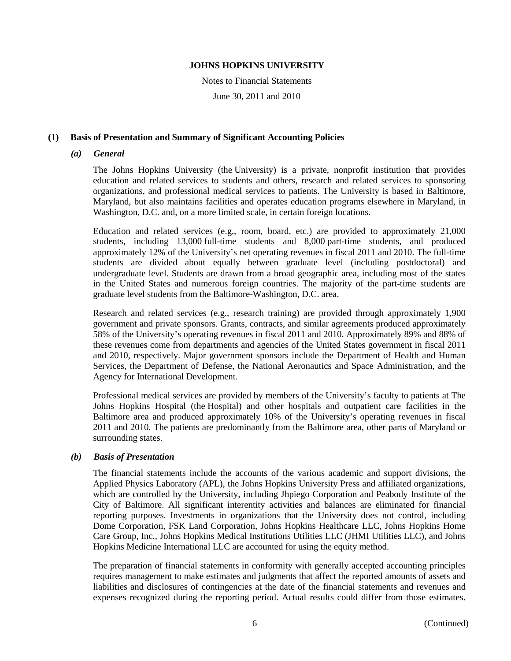Notes to Financial Statements

June 30, 2011 and 2010

#### **(1) Basis of Presentation and Summary of Significant Accounting Policies**

#### *(a) General*

The Johns Hopkins University (the University) is a private, nonprofit institution that provides education and related services to students and others, research and related services to sponsoring organizations, and professional medical services to patients. The University is based in Baltimore, Maryland, but also maintains facilities and operates education programs elsewhere in Maryland, in Washington, D.C. and, on a more limited scale, in certain foreign locations.

Education and related services (e.g., room, board, etc.) are provided to approximately 21,000 students, including 13,000 full-time students and 8,000 part-time students, and produced approximately 12% of the University's net operating revenues in fiscal 2011 and 2010. The full-time students are divided about equally between graduate level (including postdoctoral) and undergraduate level. Students are drawn from a broad geographic area, including most of the states in the United States and numerous foreign countries. The majority of the part-time students are graduate level students from the Baltimore-Washington, D.C. area.

Research and related services (e.g., research training) are provided through approximately 1,900 government and private sponsors. Grants, contracts, and similar agreements produced approximately 58% of the University's operating revenues in fiscal 2011 and 2010. Approximately 89% and 88% of these revenues come from departments and agencies of the United States government in fiscal 2011 and 2010, respectively. Major government sponsors include the Department of Health and Human Services, the Department of Defense, the National Aeronautics and Space Administration, and the Agency for International Development.

Professional medical services are provided by members of the University's faculty to patients at The Johns Hopkins Hospital (the Hospital) and other hospitals and outpatient care facilities in the Baltimore area and produced approximately 10% of the University's operating revenues in fiscal 2011 and 2010. The patients are predominantly from the Baltimore area, other parts of Maryland or surrounding states.

### *(b) Basis of Presentation*

The financial statements include the accounts of the various academic and support divisions, the Applied Physics Laboratory (APL), the Johns Hopkins University Press and affiliated organizations, which are controlled by the University, including Jhpiego Corporation and Peabody Institute of the City of Baltimore. All significant interentity activities and balances are eliminated for financial reporting purposes. Investments in organizations that the University does not control, including Dome Corporation, FSK Land Corporation, Johns Hopkins Healthcare LLC, Johns Hopkins Home Care Group, Inc., Johns Hopkins Medical Institutions Utilities LLC (JHMI Utilities LLC), and Johns Hopkins Medicine International LLC are accounted for using the equity method.

The preparation of financial statements in conformity with generally accepted accounting principles requires management to make estimates and judgments that affect the reported amounts of assets and liabilities and disclosures of contingencies at the date of the financial statements and revenues and expenses recognized during the reporting period. Actual results could differ from those estimates.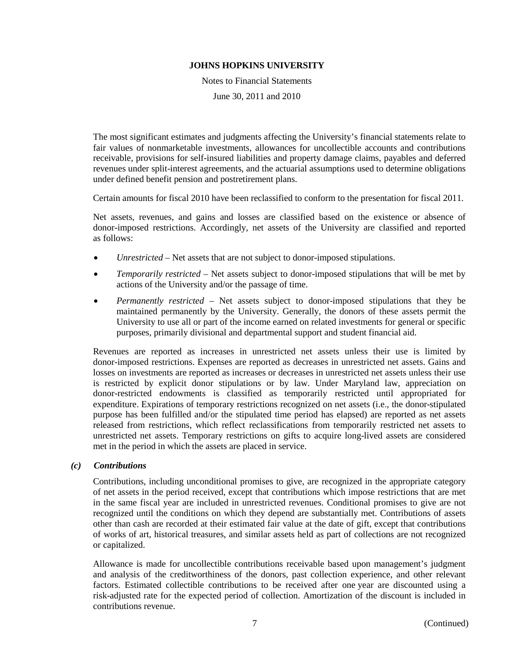Notes to Financial Statements

June 30, 2011 and 2010

The most significant estimates and judgments affecting the University's financial statements relate to fair values of nonmarketable investments, allowances for uncollectible accounts and contributions receivable, provisions for self-insured liabilities and property damage claims, payables and deferred revenues under split-interest agreements, and the actuarial assumptions used to determine obligations under defined benefit pension and postretirement plans.

Certain amounts for fiscal 2010 have been reclassified to conform to the presentation for fiscal 2011.

Net assets, revenues, and gains and losses are classified based on the existence or absence of donor-imposed restrictions. Accordingly, net assets of the University are classified and reported as follows:

- *Unrestricted*  Net assets that are not subject to donor-imposed stipulations.
- *Temporarily restricted* Net assets subject to donor-imposed stipulations that will be met by actions of the University and/or the passage of time.
- *Permanently restricted*  Net assets subject to donor-imposed stipulations that they be maintained permanently by the University. Generally, the donors of these assets permit the University to use all or part of the income earned on related investments for general or specific purposes, primarily divisional and departmental support and student financial aid.

Revenues are reported as increases in unrestricted net assets unless their use is limited by donor-imposed restrictions. Expenses are reported as decreases in unrestricted net assets. Gains and losses on investments are reported as increases or decreases in unrestricted net assets unless their use is restricted by explicit donor stipulations or by law. Under Maryland law, appreciation on donor-restricted endowments is classified as temporarily restricted until appropriated for expenditure. Expirations of temporary restrictions recognized on net assets (i.e., the donor-stipulated purpose has been fulfilled and/or the stipulated time period has elapsed) are reported as net assets released from restrictions, which reflect reclassifications from temporarily restricted net assets to unrestricted net assets. Temporary restrictions on gifts to acquire long-lived assets are considered met in the period in which the assets are placed in service.

#### *(c) Contributions*

Contributions, including unconditional promises to give, are recognized in the appropriate category of net assets in the period received, except that contributions which impose restrictions that are met in the same fiscal year are included in unrestricted revenues. Conditional promises to give are not recognized until the conditions on which they depend are substantially met. Contributions of assets other than cash are recorded at their estimated fair value at the date of gift, except that contributions of works of art, historical treasures, and similar assets held as part of collections are not recognized or capitalized.

Allowance is made for uncollectible contributions receivable based upon management's judgment and analysis of the creditworthiness of the donors, past collection experience, and other relevant factors. Estimated collectible contributions to be received after one year are discounted using a risk-adjusted rate for the expected period of collection. Amortization of the discount is included in contributions revenue.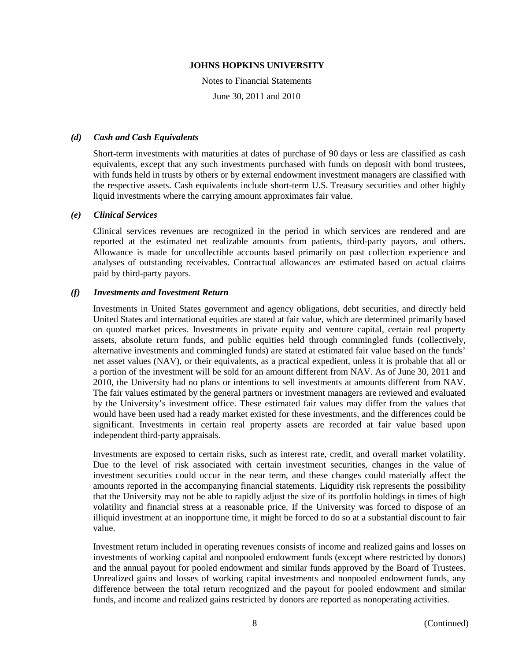Notes to Financial Statements

June 30, 2011 and 2010

#### *(d) Cash and Cash Equivalents*

Short-term investments with maturities at dates of purchase of 90 days or less are classified as cash equivalents, except that any such investments purchased with funds on deposit with bond trustees, with funds held in trusts by others or by external endowment investment managers are classified with the respective assets. Cash equivalents include short-term U.S. Treasury securities and other highly liquid investments where the carrying amount approximates fair value.

#### *(e) Clinical Services*

Clinical services revenues are recognized in the period in which services are rendered and are reported at the estimated net realizable amounts from patients, third-party payors, and others. Allowance is made for uncollectible accounts based primarily on past collection experience and analyses of outstanding receivables. Contractual allowances are estimated based on actual claims paid by third-party payors.

#### *(f) Investments and Investment Return*

Investments in United States government and agency obligations, debt securities, and directly held United States and international equities are stated at fair value, which are determined primarily based on quoted market prices. Investments in private equity and venture capital, certain real property assets, absolute return funds, and public equities held through commingled funds (collectively, alternative investments and commingled funds) are stated at estimated fair value based on the funds' net asset values (NAV), or their equivalents, as a practical expedient, unless it is probable that all or a portion of the investment will be sold for an amount different from NAV. As of June 30, 2011 and 2010, the University had no plans or intentions to sell investments at amounts different from NAV. The fair values estimated by the general partners or investment managers are reviewed and evaluated by the University's investment office. These estimated fair values may differ from the values that would have been used had a ready market existed for these investments, and the differences could be significant. Investments in certain real property assets are recorded at fair value based upon independent third-party appraisals.

Investments are exposed to certain risks, such as interest rate, credit, and overall market volatility. Due to the level of risk associated with certain investment securities, changes in the value of investment securities could occur in the near term, and these changes could materially affect the amounts reported in the accompanying financial statements. Liquidity risk represents the possibility that the University may not be able to rapidly adjust the size of its portfolio holdings in times of high volatility and financial stress at a reasonable price. If the University was forced to dispose of an illiquid investment at an inopportune time, it might be forced to do so at a substantial discount to fair value.

Investment return included in operating revenues consists of income and realized gains and losses on investments of working capital and nonpooled endowment funds (except where restricted by donors) and the annual payout for pooled endowment and similar funds approved by the Board of Trustees. Unrealized gains and losses of working capital investments and nonpooled endowment funds, any difference between the total return recognized and the payout for pooled endowment and similar funds, and income and realized gains restricted by donors are reported as nonoperating activities.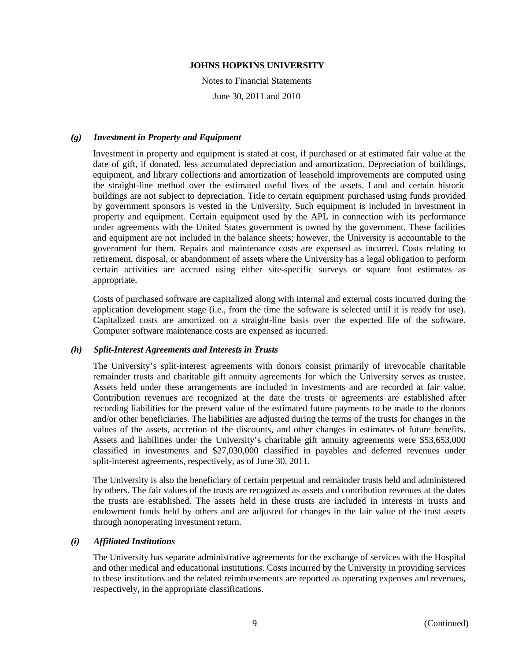Notes to Financial Statements

June 30, 2011 and 2010

#### *(g) Investment in Property and Equipment*

Investment in property and equipment is stated at cost, if purchased or at estimated fair value at the date of gift, if donated, less accumulated depreciation and amortization. Depreciation of buildings, equipment, and library collections and amortization of leasehold improvements are computed using the straight-line method over the estimated useful lives of the assets. Land and certain historic buildings are not subject to depreciation. Title to certain equipment purchased using funds provided by government sponsors is vested in the University. Such equipment is included in investment in property and equipment. Certain equipment used by the APL in connection with its performance under agreements with the United States government is owned by the government. These facilities and equipment are not included in the balance sheets; however, the University is accountable to the government for them. Repairs and maintenance costs are expensed as incurred. Costs relating to retirement, disposal, or abandonment of assets where the University has a legal obligation to perform certain activities are accrued using either site-specific surveys or square foot estimates as appropriate.

Costs of purchased software are capitalized along with internal and external costs incurred during the application development stage (i.e., from the time the software is selected until it is ready for use). Capitalized costs are amortized on a straight-line basis over the expected life of the software. Computer software maintenance costs are expensed as incurred.

#### *(h) Split-Interest Agreements and Interests in Trusts*

The University's split-interest agreements with donors consist primarily of irrevocable charitable remainder trusts and charitable gift annuity agreements for which the University serves as trustee. Assets held under these arrangements are included in investments and are recorded at fair value. Contribution revenues are recognized at the date the trusts or agreements are established after recording liabilities for the present value of the estimated future payments to be made to the donors and/or other beneficiaries. The liabilities are adjusted during the terms of the trusts for changes in the values of the assets, accretion of the discounts, and other changes in estimates of future benefits. Assets and liabilities under the University's charitable gift annuity agreements were \$53,653,000 classified in investments and \$27,030,000 classified in payables and deferred revenues under split-interest agreements, respectively, as of June 30, 2011.

The University is also the beneficiary of certain perpetual and remainder trusts held and administered by others. The fair values of the trusts are recognized as assets and contribution revenues at the dates the trusts are established. The assets held in these trusts are included in interests in trusts and endowment funds held by others and are adjusted for changes in the fair value of the trust assets through nonoperating investment return.

#### *(i) Affiliated Institutions*

The University has separate administrative agreements for the exchange of services with the Hospital and other medical and educational institutions. Costs incurred by the University in providing services to these institutions and the related reimbursements are reported as operating expenses and revenues, respectively, in the appropriate classifications.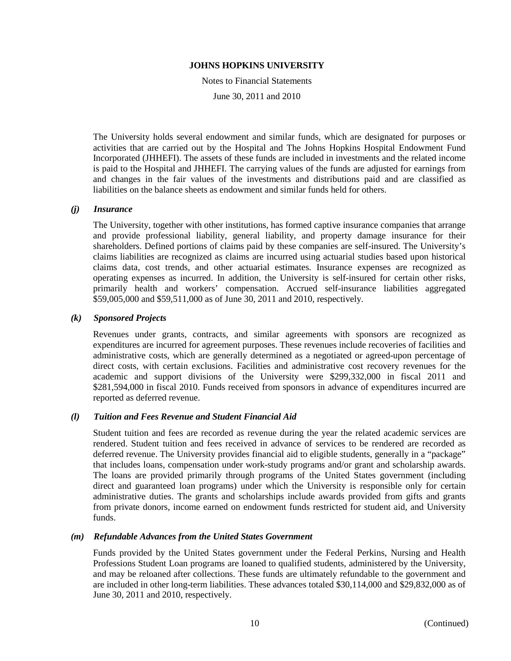Notes to Financial Statements

June 30, 2011 and 2010

The University holds several endowment and similar funds, which are designated for purposes or activities that are carried out by the Hospital and The Johns Hopkins Hospital Endowment Fund Incorporated (JHHEFI). The assets of these funds are included in investments and the related income is paid to the Hospital and JHHEFI. The carrying values of the funds are adjusted for earnings from and changes in the fair values of the investments and distributions paid and are classified as liabilities on the balance sheets as endowment and similar funds held for others.

#### *(j) Insurance*

The University, together with other institutions, has formed captive insurance companies that arrange and provide professional liability, general liability, and property damage insurance for their shareholders. Defined portions of claims paid by these companies are self-insured. The University's claims liabilities are recognized as claims are incurred using actuarial studies based upon historical claims data, cost trends, and other actuarial estimates. Insurance expenses are recognized as operating expenses as incurred. In addition, the University is self-insured for certain other risks, primarily health and workers' compensation. Accrued self-insurance liabilities aggregated \$59,005,000 and \$59,511,000 as of June 30, 2011 and 2010, respectively.

#### *(k) Sponsored Projects*

Revenues under grants, contracts, and similar agreements with sponsors are recognized as expenditures are incurred for agreement purposes. These revenues include recoveries of facilities and administrative costs, which are generally determined as a negotiated or agreed-upon percentage of direct costs, with certain exclusions. Facilities and administrative cost recovery revenues for the academic and support divisions of the University were \$299,332,000 in fiscal 2011 and \$281,594,000 in fiscal 2010. Funds received from sponsors in advance of expenditures incurred are reported as deferred revenue.

#### *(l) Tuition and Fees Revenue and Student Financial Aid*

Student tuition and fees are recorded as revenue during the year the related academic services are rendered. Student tuition and fees received in advance of services to be rendered are recorded as deferred revenue. The University provides financial aid to eligible students, generally in a "package" that includes loans, compensation under work-study programs and/or grant and scholarship awards. The loans are provided primarily through programs of the United States government (including direct and guaranteed loan programs) under which the University is responsible only for certain administrative duties. The grants and scholarships include awards provided from gifts and grants from private donors, income earned on endowment funds restricted for student aid, and University funds.

#### *(m) Refundable Advances from the United States Government*

Funds provided by the United States government under the Federal Perkins, Nursing and Health Professions Student Loan programs are loaned to qualified students, administered by the University, and may be reloaned after collections. These funds are ultimately refundable to the government and are included in other long-term liabilities. These advances totaled \$30,114,000 and \$29,832,000 as of June 30, 2011 and 2010, respectively.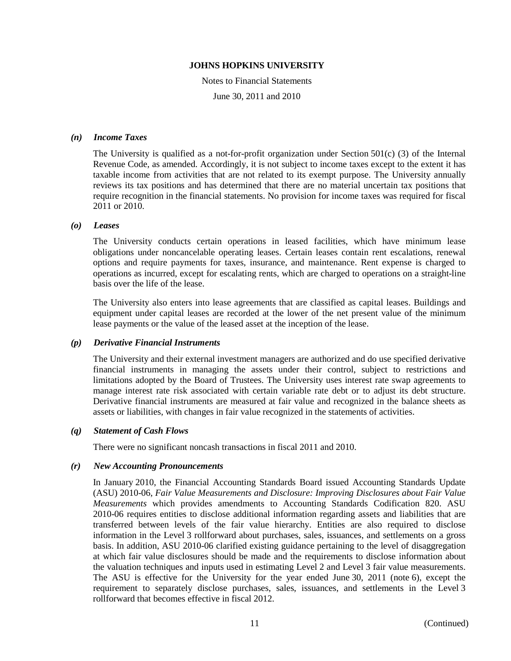Notes to Financial Statements

June 30, 2011 and 2010

#### *(n) Income Taxes*

The University is qualified as a not-for-profit organization under Section 501(c) (3) of the Internal Revenue Code, as amended. Accordingly, it is not subject to income taxes except to the extent it has taxable income from activities that are not related to its exempt purpose. The University annually reviews its tax positions and has determined that there are no material uncertain tax positions that require recognition in the financial statements. No provision for income taxes was required for fiscal 2011 or 2010.

#### *(o) Leases*

The University conducts certain operations in leased facilities, which have minimum lease obligations under noncancelable operating leases. Certain leases contain rent escalations, renewal options and require payments for taxes, insurance, and maintenance. Rent expense is charged to operations as incurred, except for escalating rents, which are charged to operations on a straight-line basis over the life of the lease.

The University also enters into lease agreements that are classified as capital leases. Buildings and equipment under capital leases are recorded at the lower of the net present value of the minimum lease payments or the value of the leased asset at the inception of the lease.

#### *(p) Derivative Financial Instruments*

The University and their external investment managers are authorized and do use specified derivative financial instruments in managing the assets under their control, subject to restrictions and limitations adopted by the Board of Trustees. The University uses interest rate swap agreements to manage interest rate risk associated with certain variable rate debt or to adjust its debt structure. Derivative financial instruments are measured at fair value and recognized in the balance sheets as assets or liabilities, with changes in fair value recognized in the statements of activities.

#### *(q) Statement of Cash Flows*

There were no significant noncash transactions in fiscal 2011 and 2010.

#### *(r) New Accounting Pronouncements*

In January 2010, the Financial Accounting Standards Board issued Accounting Standards Update (ASU) 2010-06, *Fair Value Measurements and Disclosure: Improving Disclosures about Fair Value Measurements* which provides amendments to Accounting Standards Codification 820. ASU 2010-06 requires entities to disclose additional information regarding assets and liabilities that are transferred between levels of the fair value hierarchy. Entities are also required to disclose information in the Level 3 rollforward about purchases, sales, issuances, and settlements on a gross basis. In addition, ASU 2010-06 clarified existing guidance pertaining to the level of disaggregation at which fair value disclosures should be made and the requirements to disclose information about the valuation techniques and inputs used in estimating Level 2 and Level 3 fair value measurements. The ASU is effective for the University for the year ended June 30, 2011 (note 6), except the requirement to separately disclose purchases, sales, issuances, and settlements in the Level 3 rollforward that becomes effective in fiscal 2012.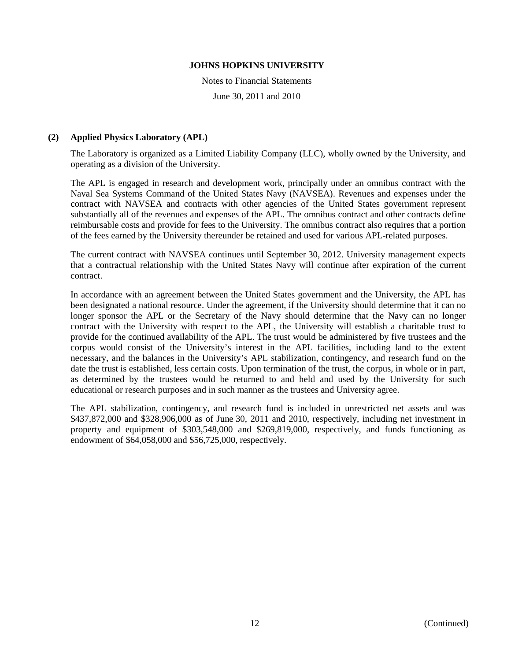Notes to Financial Statements

June 30, 2011 and 2010

#### **(2) Applied Physics Laboratory (APL)**

The Laboratory is organized as a Limited Liability Company (LLC), wholly owned by the University, and operating as a division of the University.

The APL is engaged in research and development work, principally under an omnibus contract with the Naval Sea Systems Command of the United States Navy (NAVSEA). Revenues and expenses under the contract with NAVSEA and contracts with other agencies of the United States government represent substantially all of the revenues and expenses of the APL. The omnibus contract and other contracts define reimbursable costs and provide for fees to the University. The omnibus contract also requires that a portion of the fees earned by the University thereunder be retained and used for various APL-related purposes.

The current contract with NAVSEA continues until September 30, 2012. University management expects that a contractual relationship with the United States Navy will continue after expiration of the current contract.

In accordance with an agreement between the United States government and the University, the APL has been designated a national resource. Under the agreement, if the University should determine that it can no longer sponsor the APL or the Secretary of the Navy should determine that the Navy can no longer contract with the University with respect to the APL, the University will establish a charitable trust to provide for the continued availability of the APL. The trust would be administered by five trustees and the corpus would consist of the University's interest in the APL facilities, including land to the extent necessary, and the balances in the University's APL stabilization, contingency, and research fund on the date the trust is established, less certain costs. Upon termination of the trust, the corpus, in whole or in part, as determined by the trustees would be returned to and held and used by the University for such educational or research purposes and in such manner as the trustees and University agree.

The APL stabilization, contingency, and research fund is included in unrestricted net assets and was \$437,872,000 and \$328,906,000 as of June 30, 2011 and 2010, respectively, including net investment in property and equipment of \$303,548,000 and \$269,819,000, respectively, and funds functioning as endowment of \$64,058,000 and \$56,725,000, respectively.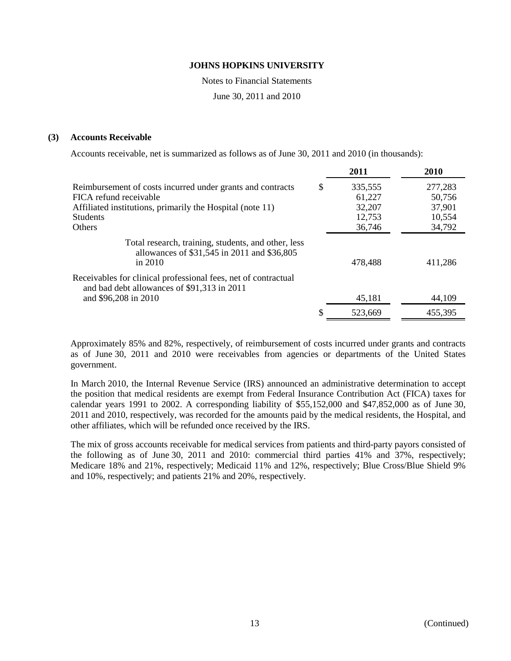Notes to Financial Statements

June 30, 2011 and 2010

#### **(3) Accounts Receivable**

Accounts receivable, net is summarized as follows as of June 30, 2011 and 2010 (in thousands):

|                                                                                                               | 2011          | 2010    |
|---------------------------------------------------------------------------------------------------------------|---------------|---------|
| Reimbursement of costs incurred under grants and contracts                                                    | \$<br>335,555 | 277,283 |
| FICA refund receivable                                                                                        | 61,227        | 50,756  |
| Affiliated institutions, primarily the Hospital (note 11)                                                     | 32,207        | 37,901  |
| <b>Students</b>                                                                                               | 12,753        | 10,554  |
| <b>Others</b>                                                                                                 | 36,746        | 34,792  |
| Total research, training, students, and other, less<br>allowances of \$31,545 in 2011 and \$36,805<br>in 2010 | 478,488       | 411,286 |
| Receivables for clinical professional fees, net of contractual<br>and bad debt allowances of \$91,313 in 2011 |               |         |
| and \$96,208 in 2010                                                                                          | 45,181        | 44,109  |
|                                                                                                               | 523.669       | 455,395 |

Approximately 85% and 82%, respectively, of reimbursement of costs incurred under grants and contracts as of June 30, 2011 and 2010 were receivables from agencies or departments of the United States government.

In March 2010, the Internal Revenue Service (IRS) announced an administrative determination to accept the position that medical residents are exempt from Federal Insurance Contribution Act (FICA) taxes for calendar years 1991 to 2002. A corresponding liability of \$55,152,000 and \$47,852,000 as of June 30, 2011 and 2010, respectively, was recorded for the amounts paid by the medical residents, the Hospital, and other affiliates, which will be refunded once received by the IRS.

The mix of gross accounts receivable for medical services from patients and third-party payors consisted of the following as of June 30, 2011 and 2010: commercial third parties 41% and 37%, respectively; Medicare 18% and 21%, respectively; Medicaid 11% and 12%, respectively; Blue Cross/Blue Shield 9% and 10%, respectively; and patients 21% and 20%, respectively.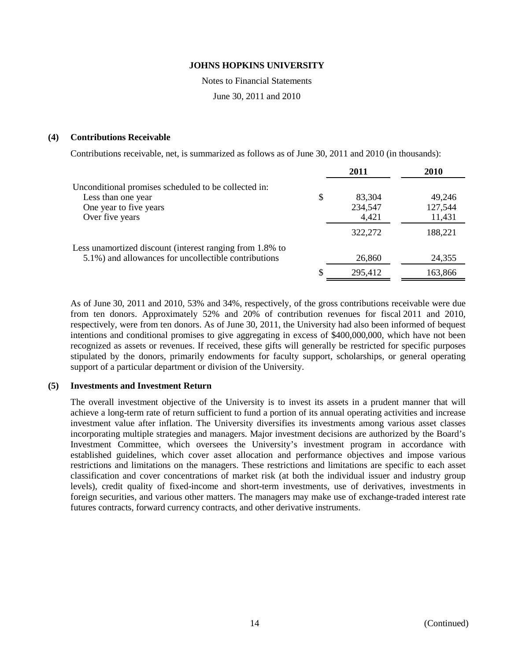Notes to Financial Statements

June 30, 2011 and 2010

#### **(4) Contributions Receivable**

Contributions receivable, net, is summarized as follows as of June 30, 2011 and 2010 (in thousands):

|                                                          |    | 2011    | 2010    |
|----------------------------------------------------------|----|---------|---------|
| Unconditional promises scheduled to be collected in:     |    |         |         |
| Less than one year                                       | \$ | 83,304  | 49,246  |
| One year to five years                                   |    | 234,547 | 127,544 |
| Over five years                                          |    | 4,421   | 11,431  |
|                                                          |    | 322,272 | 188,221 |
| Less unamortized discount (interest ranging from 1.8% to |    |         |         |
| 5.1%) and allowances for uncollectible contributions     |    | 26,860  | 24,355  |
|                                                          | S  | 295,412 | 163,866 |

As of June 30, 2011 and 2010, 53% and 34%, respectively, of the gross contributions receivable were due from ten donors. Approximately 52% and 20% of contribution revenues for fiscal 2011 and 2010, respectively, were from ten donors. As of June 30, 2011, the University had also been informed of bequest intentions and conditional promises to give aggregating in excess of \$400,000,000, which have not been recognized as assets or revenues. If received, these gifts will generally be restricted for specific purposes stipulated by the donors, primarily endowments for faculty support, scholarships, or general operating support of a particular department or division of the University.

#### **(5) Investments and Investment Return**

The overall investment objective of the University is to invest its assets in a prudent manner that will achieve a long-term rate of return sufficient to fund a portion of its annual operating activities and increase investment value after inflation. The University diversifies its investments among various asset classes incorporating multiple strategies and managers. Major investment decisions are authorized by the Board's Investment Committee, which oversees the University's investment program in accordance with established guidelines, which cover asset allocation and performance objectives and impose various restrictions and limitations on the managers. These restrictions and limitations are specific to each asset classification and cover concentrations of market risk (at both the individual issuer and industry group levels), credit quality of fixed-income and short-term investments, use of derivatives, investments in foreign securities, and various other matters. The managers may make use of exchange-traded interest rate futures contracts, forward currency contracts, and other derivative instruments.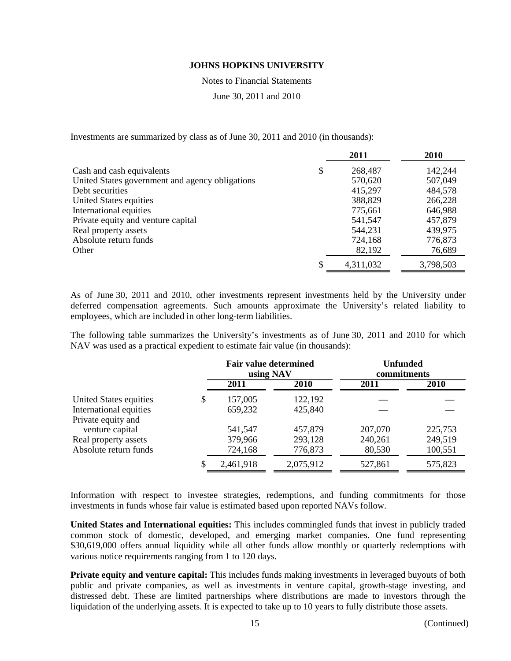Notes to Financial Statements

June 30, 2011 and 2010

Investments are summarized by class as of June 30, 2011 and 2010 (in thousands):

|                                                 |   | 2011      | 2010      |
|-------------------------------------------------|---|-----------|-----------|
| Cash and cash equivalents                       | S | 268,487   | 142,244   |
| United States government and agency obligations |   | 570,620   | 507,049   |
| Debt securities                                 |   | 415,297   | 484,578   |
| United States equities                          |   | 388,829   | 266,228   |
| International equities                          |   | 775,661   | 646,988   |
| Private equity and venture capital              |   | 541,547   | 457,879   |
| Real property assets                            |   | 544,231   | 439,975   |
| Absolute return funds                           |   | 724,168   | 776,873   |
| Other                                           |   | 82,192    | 76,689    |
|                                                 |   | 4,311,032 | 3,798,503 |

As of June 30, 2011 and 2010, other investments represent investments held by the University under deferred compensation agreements. Such amounts approximate the University's related liability to employees, which are included in other long-term liabilities.

The following table summarizes the University's investments as of June 30, 2011 and 2010 for which NAV was used as a practical expedient to estimate fair value (in thousands):

|                        |   | <b>Fair value determined</b><br>using NAV |             | <b>Unfunded</b><br>commitments |             |  |
|------------------------|---|-------------------------------------------|-------------|--------------------------------|-------------|--|
|                        |   | 2011                                      | <b>2010</b> | 2011                           | <b>2010</b> |  |
| United States equities | S | 157,005                                   | 122,192     |                                |             |  |
| International equities |   | 659,232                                   | 425,840     |                                |             |  |
| Private equity and     |   |                                           |             |                                |             |  |
| venture capital        |   | 541,547                                   | 457,879     | 207,070                        | 225,753     |  |
| Real property assets   |   | 379,966                                   | 293,128     | 240,261                        | 249,519     |  |
| Absolute return funds  |   | 724,168                                   | 776,873     | 80,530                         | 100,551     |  |
|                        |   | 2,461,918                                 | 2,075,912   | 527,861                        | 575,823     |  |

Information with respect to investee strategies, redemptions, and funding commitments for those investments in funds whose fair value is estimated based upon reported NAVs follow.

**United States and International equities:** This includes commingled funds that invest in publicly traded common stock of domestic, developed, and emerging market companies. One fund representing \$30,619,000 offers annual liquidity while all other funds allow monthly or quarterly redemptions with various notice requirements ranging from 1 to 120 days.

**Private equity and venture capital:** This includes funds making investments in leveraged buyouts of both public and private companies, as well as investments in venture capital, growth-stage investing, and distressed debt. These are limited partnerships where distributions are made to investors through the liquidation of the underlying assets. It is expected to take up to 10 years to fully distribute those assets.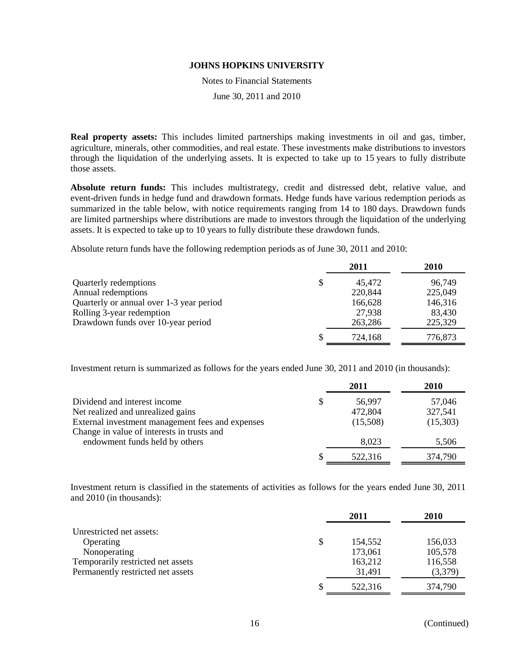Notes to Financial Statements

June 30, 2011 and 2010

**Real property assets:** This includes limited partnerships making investments in oil and gas, timber, agriculture, minerals, other commodities, and real estate. These investments make distributions to investors through the liquidation of the underlying assets. It is expected to take up to 15 years to fully distribute those assets.

**Absolute return funds:** This includes multistrategy, credit and distressed debt, relative value, and event-driven funds in hedge fund and drawdown formats. Hedge funds have various redemption periods as summarized in the table below, with notice requirements ranging from 14 to 180 days. Drawdown funds are limited partnerships where distributions are made to investors through the liquidation of the underlying assets. It is expected to take up to 10 years to fully distribute these drawdown funds.

Absolute return funds have the following redemption periods as of June 30, 2011 and 2010:

|                                          |   | 2011    | 2010    |
|------------------------------------------|---|---------|---------|
| Quarterly redemptions                    | S | 45,472  | 96,749  |
| Annual redemptions                       |   | 220,844 | 225,049 |
| Quarterly or annual over 1-3 year period |   | 166,628 | 146,316 |
| Rolling 3-year redemption                |   | 27,938  | 83,430  |
| Drawdown funds over 10-year period       |   | 263,286 | 225,329 |
|                                          |   | 724,168 | 776,873 |

Investment return is summarized as follows for the years ended June 30, 2011 and 2010 (in thousands):

|                                                  | 2011         | 2010     |
|--------------------------------------------------|--------------|----------|
| Dividend and interest income                     | \$<br>56,997 | 57,046   |
| Net realized and unrealized gains                | 472,804      | 327,541  |
| External investment management fees and expenses | (15,508)     | (15,303) |
| Change in value of interests in trusts and       |              |          |
| endowment funds held by others                   | 8,023        | 5,506    |
|                                                  | 522,316      | 374,790  |

Investment return is classified in the statements of activities as follows for the years ended June 30, 2011 and 2010 (in thousands):

|                                   | 2011          | 2010    |
|-----------------------------------|---------------|---------|
| Unrestricted net assets:          |               |         |
| Operating                         | \$<br>154,552 | 156,033 |
| Nonoperating                      | 173,061       | 105,578 |
| Temporarily restricted net assets | 163,212       | 116,558 |
| Permanently restricted net assets | 31,491        | (3,379) |
|                                   | 522,316       | 374,790 |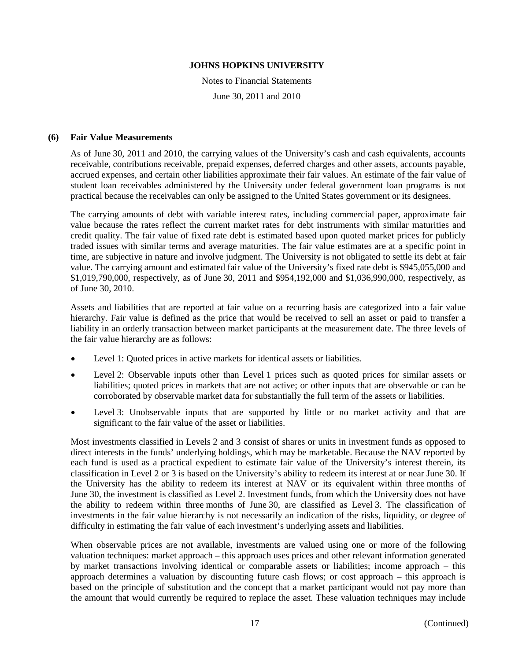Notes to Financial Statements June 30, 2011 and 2010

#### **(6) Fair Value Measurements**

As of June 30, 2011 and 2010, the carrying values of the University's cash and cash equivalents, accounts receivable, contributions receivable, prepaid expenses, deferred charges and other assets, accounts payable, accrued expenses, and certain other liabilities approximate their fair values. An estimate of the fair value of student loan receivables administered by the University under federal government loan programs is not practical because the receivables can only be assigned to the United States government or its designees.

The carrying amounts of debt with variable interest rates, including commercial paper, approximate fair value because the rates reflect the current market rates for debt instruments with similar maturities and credit quality. The fair value of fixed rate debt is estimated based upon quoted market prices for publicly traded issues with similar terms and average maturities. The fair value estimates are at a specific point in time, are subjective in nature and involve judgment. The University is not obligated to settle its debt at fair value. The carrying amount and estimated fair value of the University's fixed rate debt is \$945,055,000 and \$1,019,790,000, respectively, as of June 30, 2011 and \$954,192,000 and \$1,036,990,000, respectively, as of June 30, 2010.

Assets and liabilities that are reported at fair value on a recurring basis are categorized into a fair value hierarchy. Fair value is defined as the price that would be received to sell an asset or paid to transfer a liability in an orderly transaction between market participants at the measurement date. The three levels of the fair value hierarchy are as follows:

- Level 1: Quoted prices in active markets for identical assets or liabilities.
- Level 2: Observable inputs other than Level 1 prices such as quoted prices for similar assets or liabilities; quoted prices in markets that are not active; or other inputs that are observable or can be corroborated by observable market data for substantially the full term of the assets or liabilities.
- Level 3: Unobservable inputs that are supported by little or no market activity and that are significant to the fair value of the asset or liabilities.

Most investments classified in Levels 2 and 3 consist of shares or units in investment funds as opposed to direct interests in the funds' underlying holdings, which may be marketable. Because the NAV reported by each fund is used as a practical expedient to estimate fair value of the University's interest therein, its classification in Level 2 or 3 is based on the University's ability to redeem its interest at or near June 30. If the University has the ability to redeem its interest at NAV or its equivalent within three months of June 30, the investment is classified as Level 2. Investment funds, from which the University does not have the ability to redeem within three months of June 30, are classified as Level 3. The classification of investments in the fair value hierarchy is not necessarily an indication of the risks, liquidity, or degree of difficulty in estimating the fair value of each investment's underlying assets and liabilities.

When observable prices are not available, investments are valued using one or more of the following valuation techniques: market approach – this approach uses prices and other relevant information generated by market transactions involving identical or comparable assets or liabilities; income approach – this approach determines a valuation by discounting future cash flows; or cost approach – this approach is based on the principle of substitution and the concept that a market participant would not pay more than the amount that would currently be required to replace the asset. These valuation techniques may include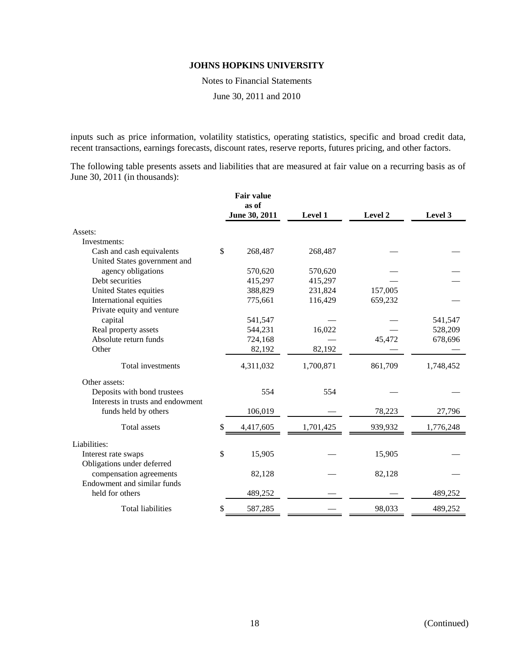Notes to Financial Statements

June 30, 2011 and 2010

inputs such as price information, volatility statistics, operating statistics, specific and broad credit data, recent transactions, earnings forecasts, discount rates, reserve reports, futures pricing, and other factors.

The following table presents assets and liabilities that are measured at fair value on a recurring basis as of June 30, 2011 (in thousands):

|                                   | <b>Fair value</b><br>as of |                |         |           |
|-----------------------------------|----------------------------|----------------|---------|-----------|
|                                   | June 30, 2011              | <b>Level 1</b> | Level 2 | Level 3   |
| Assets:                           |                            |                |         |           |
| Investments:                      |                            |                |         |           |
| Cash and cash equivalents         | \$<br>268,487              | 268,487        |         |           |
| United States government and      |                            |                |         |           |
| agency obligations                | 570,620                    | 570,620        |         |           |
| Debt securities                   | 415,297                    | 415,297        |         |           |
| United States equities            | 388,829                    | 231,824        | 157,005 |           |
| International equities            | 775,661                    | 116,429        | 659,232 |           |
| Private equity and venture        |                            |                |         |           |
| capital                           | 541,547                    |                |         | 541,547   |
| Real property assets              | 544,231                    | 16,022         |         | 528,209   |
| Absolute return funds             | 724,168                    |                | 45,472  | 678,696   |
| Other                             | 82,192                     | 82,192         |         |           |
| Total investments                 | 4,311,032                  | 1,700,871      | 861,709 | 1,748,452 |
| Other assets:                     |                            |                |         |           |
| Deposits with bond trustees       | 554                        | 554            |         |           |
| Interests in trusts and endowment |                            |                |         |           |
| funds held by others              | 106,019                    |                | 78,223  | 27,796    |
| Total assets                      | \$<br>4,417,605            | 1,701,425      | 939,932 | 1,776,248 |
| Liabilities:                      |                            |                |         |           |
| Interest rate swaps               | \$<br>15,905               |                | 15,905  |           |
| Obligations under deferred        |                            |                |         |           |
| compensation agreements           | 82,128                     |                | 82,128  |           |
| Endowment and similar funds       |                            |                |         |           |
| held for others                   | 489,252                    |                |         | 489,252   |
| <b>Total liabilities</b>          | \$<br>587,285              |                | 98,033  | 489,252   |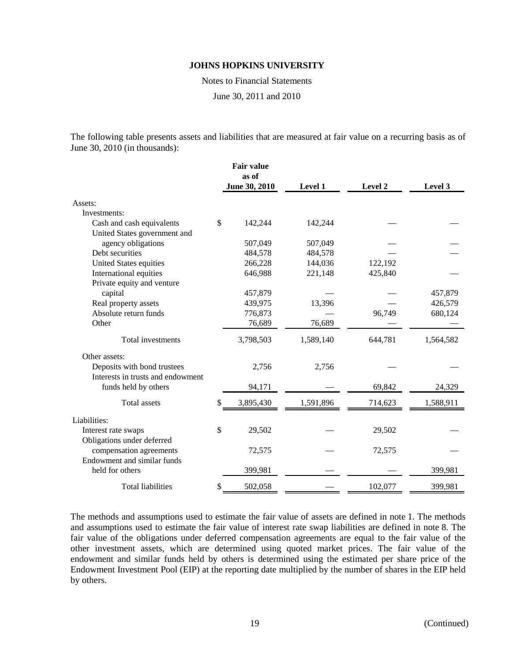Notes to Financial Statements

June 30, 2011 and 2010

The following table presents assets and liabilities that are measured at fair value on a recurring basis as of June 30, 2010 (in thousands):

|                                   | <b>Fair value</b><br>as of |                |         |           |
|-----------------------------------|----------------------------|----------------|---------|-----------|
|                                   | June 30, 2010              | <b>Level 1</b> | Level 2 | Level 3   |
| Assets:                           |                            |                |         |           |
| Investments:                      |                            |                |         |           |
| Cash and cash equivalents         | \$<br>142,244              | 142,244        |         |           |
| United States government and      |                            |                |         |           |
| agency obligations                | 507,049                    | 507,049        |         |           |
| Debt securities                   | 484,578                    | 484,578        |         |           |
| <b>United States equities</b>     | 266,228                    | 144,036        | 122,192 |           |
| International equities            | 646,988                    | 221,148        | 425,840 |           |
| Private equity and venture        |                            |                |         |           |
| capital                           | 457,879                    |                |         | 457,879   |
| Real property assets              | 439,975                    | 13,396         |         | 426,579   |
| Absolute return funds             | 776,873                    |                | 96,749  | 680,124   |
| Other                             | 76,689                     | 76,689         |         |           |
| Total investments                 | 3,798,503                  | 1,589,140      | 644,781 | 1,564,582 |
| Other assets:                     |                            |                |         |           |
| Deposits with bond trustees       | 2,756                      | 2,756          |         |           |
| Interests in trusts and endowment |                            |                |         |           |
| funds held by others              | 94,171                     |                | 69,842  | 24,329    |
| <b>Total</b> assets               | \$<br>3,895,430            | 1,591,896      | 714,623 | 1,588,911 |
| Liabilities:                      |                            |                |         |           |
| Interest rate swaps               | \$<br>29,502               |                | 29,502  |           |
| Obligations under deferred        |                            |                |         |           |
| compensation agreements           | 72,575                     |                | 72,575  |           |
| Endowment and similar funds       |                            |                |         |           |
| held for others                   | 399,981                    |                |         | 399,981   |
| <b>Total liabilities</b>          | \$<br>502,058              |                | 102,077 | 399,981   |

The methods and assumptions used to estimate the fair value of assets are defined in note 1. The methods and assumptions used to estimate the fair value of interest rate swap liabilities are defined in note 8. The fair value of the obligations under deferred compensation agreements are equal to the fair value of the other investment assets, which are determined using quoted market prices. The fair value of the endowment and similar funds held by others is determined using the estimated per share price of the Endowment Investment Pool (EIP) at the reporting date multiplied by the number of shares in the EIP held by others.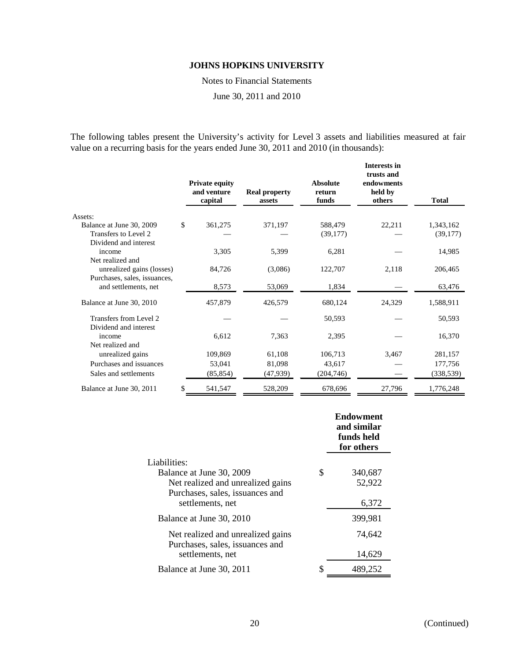Notes to Financial Statements

June 30, 2011 and 2010

The following tables present the University's activity for Level 3 assets and liabilities measured at fair value on a recurring basis for the years ended June 30, 2011 and 2010 (in thousands):

|                                                           |               | <b>Private equity</b><br>and venture<br>capital | <b>Real property</b><br>assets | <b>Absolute</b><br>return<br>funds | <b>Interests in</b><br>trusts and<br>endowments<br>held by<br>others | <b>Total</b> |
|-----------------------------------------------------------|---------------|-------------------------------------------------|--------------------------------|------------------------------------|----------------------------------------------------------------------|--------------|
| Assets:                                                   |               |                                                 |                                |                                    |                                                                      |              |
| Balance at June 30, 2009                                  | <sup>\$</sup> | 361,275                                         | 371,197                        | 588,479                            | 22,211                                                               | 1,343,162    |
| Transfers to Level 2                                      |               |                                                 |                                | (39,177)                           |                                                                      | (39, 177)    |
| Dividend and interest                                     |               |                                                 |                                |                                    |                                                                      |              |
| income                                                    |               | 3,305                                           | 5,399                          | 6,281                              |                                                                      | 14,985       |
| Net realized and                                          |               |                                                 |                                |                                    |                                                                      |              |
| unrealized gains (losses)<br>Purchases, sales, issuances, |               | 84,726                                          | (3,086)                        | 122,707                            | 2,118                                                                | 206,465      |
| and settlements, net                                      |               | 8,573                                           | 53,069                         | 1,834                              |                                                                      | 63,476       |
|                                                           |               |                                                 |                                |                                    |                                                                      |              |
| Balance at June 30, 2010                                  |               | 457,879                                         | 426,579                        | 680,124                            | 24,329                                                               | 1,588,911    |
| Transfers from Level 2                                    |               |                                                 |                                | 50,593                             |                                                                      | 50,593       |
| Dividend and interest                                     |               |                                                 |                                |                                    |                                                                      |              |
| income                                                    |               | 6,612                                           | 7,363                          | 2,395                              |                                                                      | 16,370       |
| Net realized and                                          |               |                                                 |                                |                                    |                                                                      |              |
| unrealized gains                                          |               | 109,869                                         | 61,108                         | 106,713                            | 3,467                                                                | 281,157      |
| Purchases and issuances                                   |               | 53,041                                          | 81,098                         | 43,617                             |                                                                      | 177,756      |
| Sales and settlements                                     |               | (85, 854)                                       | (47,939)                       | (204,746)                          |                                                                      | (338, 539)   |
| Balance at June 30, 2011                                  | \$            | 541,547                                         | 528,209                        | 678,696                            | 27,796                                                               | 1,776,248    |

|                                                                      |   | <b>Endowment</b><br>and similar<br>funds held<br>for others |
|----------------------------------------------------------------------|---|-------------------------------------------------------------|
| Liabilities:                                                         |   |                                                             |
| Balance at June 30, 2009                                             | S | 340,687                                                     |
| Net realized and unrealized gains                                    |   | 52,922                                                      |
| Purchases, sales, issuances and                                      |   |                                                             |
| settlements, net                                                     |   | 6,372                                                       |
| Balance at June 30, 2010                                             |   | 399,981                                                     |
| Net realized and unrealized gains<br>Purchases, sales, issuances and |   | 74,642                                                      |
| settlements, net                                                     |   | 14,629                                                      |
| Balance at June 30, 2011                                             |   | 489,252                                                     |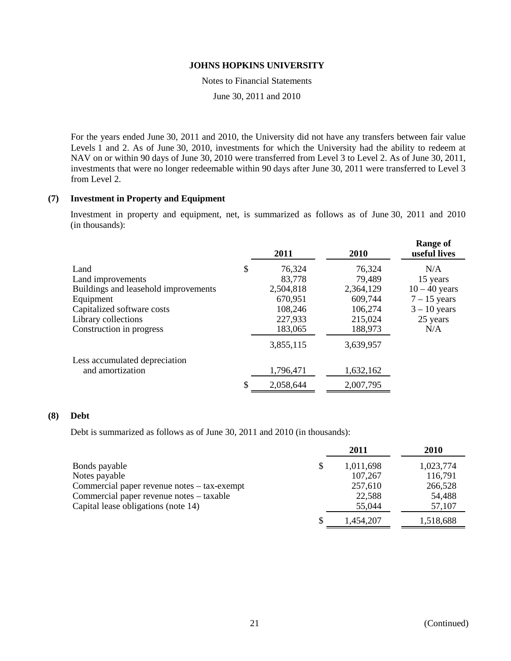Notes to Financial Statements

June 30, 2011 and 2010

For the years ended June 30, 2011 and 2010, the University did not have any transfers between fair value Levels 1 and 2. As of June 30, 2010, investments for which the University had the ability to redeem at NAV on or within 90 days of June 30, 2010 were transferred from Level 3 to Level 2. As of June 30, 2011, investments that were no longer redeemable within 90 days after June 30, 2011 were transferred to Level 3 from Level 2.

#### **(7) Investment in Property and Equipment**

Investment in property and equipment, net, is summarized as follows as of June 30, 2011 and 2010 (in thousands):

| 2011         | 2010      | <b>Range of</b><br>useful lives |
|--------------|-----------|---------------------------------|
| \$<br>76,324 | 76,324    | N/A                             |
| 83,778       | 79,489    | 15 years                        |
| 2,504,818    | 2,364,129 | $10 - 40$ years                 |
| 670,951      | 609,744   | $7 - 15$ years                  |
| 108,246      | 106,274   | $3 - 10$ years                  |
| 227,933      | 215,024   | 25 years                        |
| 183,065      | 188,973   | N/A                             |
| 3,855,115    | 3,639,957 |                                 |
|              |           |                                 |
| 1,796,471    | 1,632,162 |                                 |
| 2,058,644    | 2,007,795 |                                 |
|              |           |                                 |

#### **(8) Debt**

Debt is summarized as follows as of June 30, 2011 and 2010 (in thousands):

|                                             | 2011            | 2010      |
|---------------------------------------------|-----------------|-----------|
| Bonds payable                               | \$<br>1,011,698 | 1,023,774 |
| Notes payable                               | 107,267         | 116,791   |
| Commercial paper revenue notes – tax-exempt | 257,610         | 266,528   |
| Commercial paper revenue notes – taxable    | 22,588          | 54,488    |
| Capital lease obligations (note 14)         | 55,044          | 57,107    |
|                                             | 1,454,207       | 1,518,688 |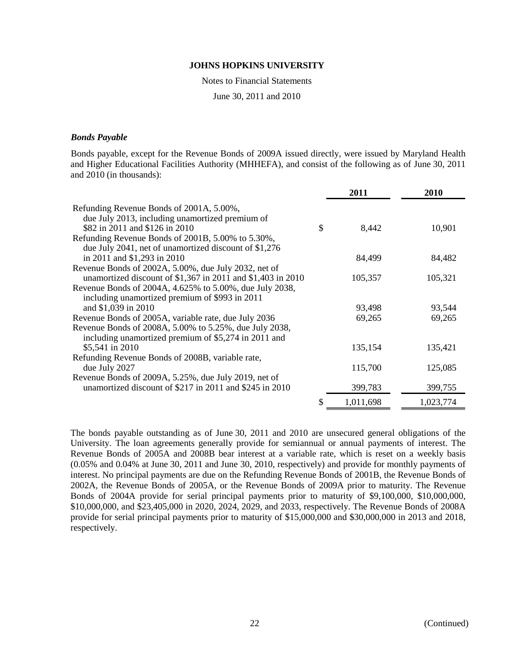Notes to Financial Statements

June 30, 2011 and 2010

#### *Bonds Payable*

Bonds payable, except for the Revenue Bonds of 2009A issued directly, were issued by Maryland Health and Higher Educational Facilities Authority (MHHEFA), and consist of the following as of June 30, 2011 and 2010 (in thousands):

|                                                                                             | 2011        | 2010      |
|---------------------------------------------------------------------------------------------|-------------|-----------|
| Refunding Revenue Bonds of 2001A, 5.00%,<br>due July 2013, including unamortized premium of |             |           |
| \$82 in 2011 and \$126 in 2010                                                              | \$<br>8,442 | 10,901    |
| Refunding Revenue Bonds of 2001B, 5.00% to 5.30%,                                           |             |           |
| due July 2041, net of unamortized discount of \$1,276                                       |             |           |
| in 2011 and \$1,293 in 2010                                                                 | 84,499      | 84,482    |
| Revenue Bonds of 2002A, 5.00%, due July 2032, net of                                        |             |           |
| unamortized discount of \$1,367 in 2011 and \$1,403 in 2010                                 | 105,357     | 105,321   |
| Revenue Bonds of 2004A, 4.625% to 5.00%, due July 2038,                                     |             |           |
| including unamortized premium of \$993 in 2011                                              |             |           |
| and \$1,039 in 2010                                                                         | 93,498      | 93,544    |
| Revenue Bonds of 2005A, variable rate, due July 2036                                        | 69,265      | 69,265    |
| Revenue Bonds of 2008A, 5.00% to 5.25%, due July 2038,                                      |             |           |
| including unamortized premium of \$5,274 in 2011 and                                        |             |           |
| \$5,541 in 2010                                                                             | 135,154     | 135,421   |
| Refunding Revenue Bonds of 2008B, variable rate,                                            |             |           |
| due July 2027                                                                               | 115,700     | 125,085   |
| Revenue Bonds of 2009A, 5.25%, due July 2019, net of                                        |             |           |
| unamortized discount of \$217 in 2011 and \$245 in 2010                                     | 399,783     | 399,755   |
|                                                                                             | 1,011,698   | 1,023,774 |

The bonds payable outstanding as of June 30, 2011 and 2010 are unsecured general obligations of the University. The loan agreements generally provide for semiannual or annual payments of interest. The Revenue Bonds of 2005A and 2008B bear interest at a variable rate, which is reset on a weekly basis (0.05% and 0.04% at June 30, 2011 and June 30, 2010, respectively) and provide for monthly payments of interest. No principal payments are due on the Refunding Revenue Bonds of 2001B, the Revenue Bonds of 2002A, the Revenue Bonds of 2005A, or the Revenue Bonds of 2009A prior to maturity. The Revenue Bonds of 2004A provide for serial principal payments prior to maturity of \$9,100,000, \$10,000,000, \$10,000,000, and \$23,405,000 in 2020, 2024, 2029, and 2033, respectively. The Revenue Bonds of 2008A provide for serial principal payments prior to maturity of \$15,000,000 and \$30,000,000 in 2013 and 2018, respectively.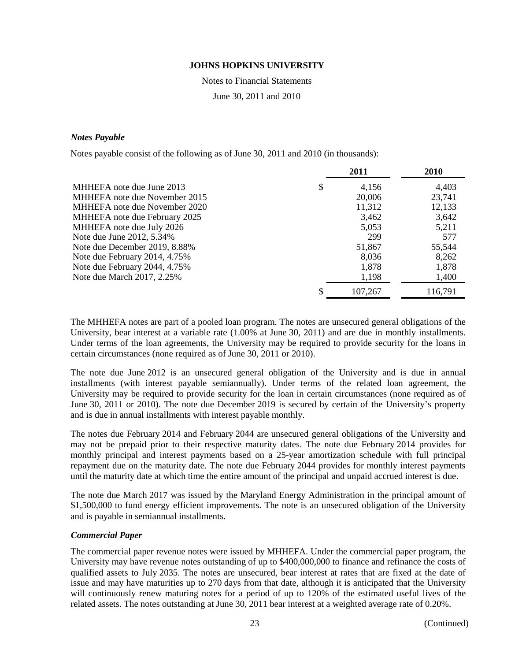Notes to Financial Statements

June 30, 2011 and 2010

#### *Notes Payable*

Notes payable consist of the following as of June 30, 2011 and 2010 (in thousands):

|                               | 2011        | 2010    |
|-------------------------------|-------------|---------|
| MHHEFA note due June 2013     | \$<br>4,156 | 4,403   |
| MHHEFA note due November 2015 | 20,006      | 23,741  |
| MHHEFA note due November 2020 | 11,312      | 12,133  |
| MHHEFA note due February 2025 | 3,462       | 3,642   |
| MHHEFA note due July 2026     | 5,053       | 5,211   |
| Note due June 2012, 5.34%     | 299         | 577     |
| Note due December 2019, 8.88% | 51,867      | 55,544  |
| Note due February 2014, 4.75% | 8,036       | 8,262   |
| Note due February 2044, 4.75% | 1,878       | 1,878   |
| Note due March 2017, 2.25%    | 1,198       | 1,400   |
|                               | 107,267     | 116,791 |

The MHHEFA notes are part of a pooled loan program. The notes are unsecured general obligations of the University, bear interest at a variable rate  $(1.00\%$  at June 30, 2011) and are due in monthly installments. Under terms of the loan agreements, the University may be required to provide security for the loans in certain circumstances (none required as of June 30, 2011 or 2010).

The note due June 2012 is an unsecured general obligation of the University and is due in annual installments (with interest payable semiannually). Under terms of the related loan agreement, the University may be required to provide security for the loan in certain circumstances (none required as of June 30, 2011 or 2010). The note due December 2019 is secured by certain of the University's property and is due in annual installments with interest payable monthly.

The notes due February 2014 and February 2044 are unsecured general obligations of the University and may not be prepaid prior to their respective maturity dates. The note due February 2014 provides for monthly principal and interest payments based on a 25-year amortization schedule with full principal repayment due on the maturity date. The note due February 2044 provides for monthly interest payments until the maturity date at which time the entire amount of the principal and unpaid accrued interest is due.

The note due March 2017 was issued by the Maryland Energy Administration in the principal amount of \$1,500,000 to fund energy efficient improvements. The note is an unsecured obligation of the University and is payable in semiannual installments.

### *Commercial Paper*

The commercial paper revenue notes were issued by MHHEFA. Under the commercial paper program, the University may have revenue notes outstanding of up to \$400,000,000 to finance and refinance the costs of qualified assets to July 2035. The notes are unsecured, bear interest at rates that are fixed at the date of issue and may have maturities up to 270 days from that date, although it is anticipated that the University will continuously renew maturing notes for a period of up to 120% of the estimated useful lives of the related assets. The notes outstanding at June 30, 2011 bear interest at a weighted average rate of 0.20%.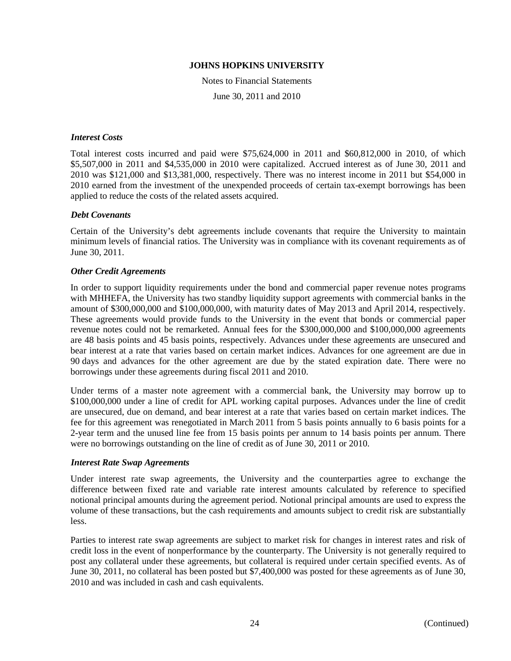Notes to Financial Statements

June 30, 2011 and 2010

#### *Interest Costs*

Total interest costs incurred and paid were \$75,624,000 in 2011 and \$60,812,000 in 2010, of which \$5,507,000 in 2011 and \$4,535,000 in 2010 were capitalized. Accrued interest as of June 30, 2011 and 2010 was \$121,000 and \$13,381,000, respectively. There was no interest income in 2011 but \$54,000 in 2010 earned from the investment of the unexpended proceeds of certain tax-exempt borrowings has been applied to reduce the costs of the related assets acquired.

#### *Debt Covenants*

Certain of the University's debt agreements include covenants that require the University to maintain minimum levels of financial ratios. The University was in compliance with its covenant requirements as of June 30, 2011.

#### *Other Credit Agreements*

In order to support liquidity requirements under the bond and commercial paper revenue notes programs with MHHEFA, the University has two standby liquidity support agreements with commercial banks in the amount of \$300,000,000 and \$100,000,000, with maturity dates of May 2013 and April 2014, respectively. These agreements would provide funds to the University in the event that bonds or commercial paper revenue notes could not be remarketed. Annual fees for the \$300,000,000 and \$100,000,000 agreements are 48 basis points and 45 basis points, respectively. Advances under these agreements are unsecured and bear interest at a rate that varies based on certain market indices. Advances for one agreement are due in 90 days and advances for the other agreement are due by the stated expiration date. There were no borrowings under these agreements during fiscal 2011 and 2010.

Under terms of a master note agreement with a commercial bank, the University may borrow up to \$100,000,000 under a line of credit for APL working capital purposes. Advances under the line of credit are unsecured, due on demand, and bear interest at a rate that varies based on certain market indices. The fee for this agreement was renegotiated in March 2011 from 5 basis points annually to 6 basis points for a 2-year term and the unused line fee from 15 basis points per annum to 14 basis points per annum. There were no borrowings outstanding on the line of credit as of June 30, 2011 or 2010.

#### *Interest Rate Swap Agreements*

Under interest rate swap agreements, the University and the counterparties agree to exchange the difference between fixed rate and variable rate interest amounts calculated by reference to specified notional principal amounts during the agreement period. Notional principal amounts are used to express the volume of these transactions, but the cash requirements and amounts subject to credit risk are substantially less.

Parties to interest rate swap agreements are subject to market risk for changes in interest rates and risk of credit loss in the event of nonperformance by the counterparty. The University is not generally required to post any collateral under these agreements, but collateral is required under certain specified events. As of June 30, 2011, no collateral has been posted but \$7,400,000 was posted for these agreements as of June 30, 2010 and was included in cash and cash equivalents.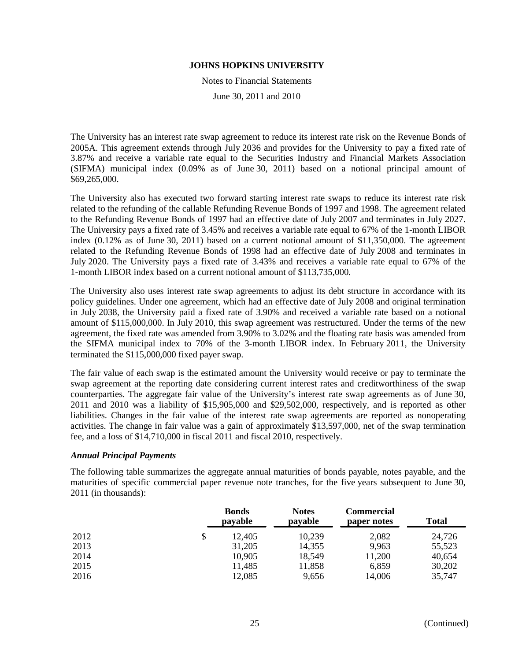Notes to Financial Statements

June 30, 2011 and 2010

The University has an interest rate swap agreement to reduce its interest rate risk on the Revenue Bonds of 2005A. This agreement extends through July 2036 and provides for the University to pay a fixed rate of 3.87% and receive a variable rate equal to the Securities Industry and Financial Markets Association (SIFMA) municipal index (0.09% as of June 30, 2011) based on a notional principal amount of \$69,265,000.

The University also has executed two forward starting interest rate swaps to reduce its interest rate risk related to the refunding of the callable Refunding Revenue Bonds of 1997 and 1998. The agreement related to the Refunding Revenue Bonds of 1997 had an effective date of July 2007 and terminates in July 2027. The University pays a fixed rate of 3.45% and receives a variable rate equal to 67% of the 1-month LIBOR index (0.12% as of June 30, 2011) based on a current notional amount of \$11,350,000. The agreement related to the Refunding Revenue Bonds of 1998 had an effective date of July 2008 and terminates in July 2020. The University pays a fixed rate of 3.43% and receives a variable rate equal to 67% of the 1-month LIBOR index based on a current notional amount of \$113,735,000.

The University also uses interest rate swap agreements to adjust its debt structure in accordance with its policy guidelines. Under one agreement, which had an effective date of July 2008 and original termination in July 2038, the University paid a fixed rate of 3.90% and received a variable rate based on a notional amount of \$115,000,000. In July 2010, this swap agreement was restructured. Under the terms of the new agreement, the fixed rate was amended from 3.90% to 3.02% and the floating rate basis was amended from the SIFMA municipal index to 70% of the 3-month LIBOR index. In February 2011, the University terminated the \$115,000,000 fixed payer swap.

The fair value of each swap is the estimated amount the University would receive or pay to terminate the swap agreement at the reporting date considering current interest rates and creditworthiness of the swap counterparties. The aggregate fair value of the University's interest rate swap agreements as of June 30, 2011 and 2010 was a liability of \$15,905,000 and \$29,502,000, respectively, and is reported as other liabilities. Changes in the fair value of the interest rate swap agreements are reported as nonoperating activities. The change in fair value was a gain of approximately \$13,597,000, net of the swap termination fee, and a loss of \$14,710,000 in fiscal 2011 and fiscal 2010, respectively.

#### *Annual Principal Payments*

The following table summarizes the aggregate annual maturities of bonds payable, notes payable, and the maturities of specific commercial paper revenue note tranches, for the five years subsequent to June 30, 2011 (in thousands):

|      | <b>Bonds</b><br>payable | <b>Notes</b><br>payable | Commercial<br>paper notes | <b>Total</b> |
|------|-------------------------|-------------------------|---------------------------|--------------|
| 2012 | \$<br>12,405            | 10,239                  | 2,082                     | 24,726       |
| 2013 | 31,205                  | 14,355                  | 9,963                     | 55,523       |
| 2014 | 10,905                  | 18,549                  | 11,200                    | 40,654       |
| 2015 | 11,485                  | 11,858                  | 6,859                     | 30,202       |
| 2016 | 12,085                  | 9,656                   | 14,006                    | 35,747       |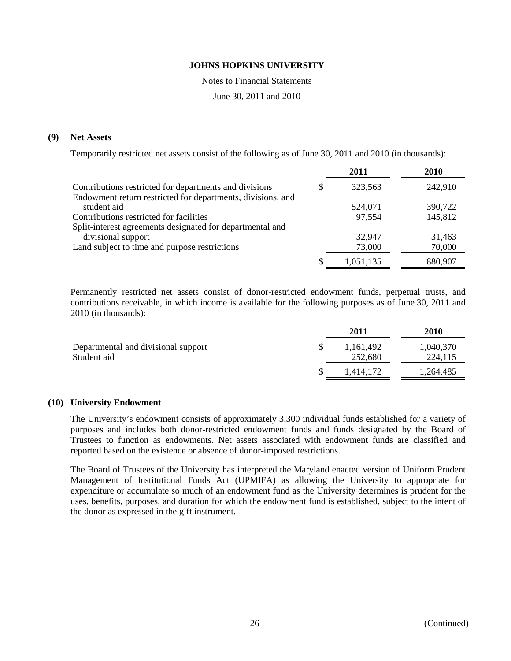Notes to Financial Statements

June 30, 2011 and 2010

#### **(9) Net Assets**

Temporarily restricted net assets consist of the following as of June 30, 2011 and 2010 (in thousands):

|                                                                                 |   | 2011      | 2010    |
|---------------------------------------------------------------------------------|---|-----------|---------|
| Contributions restricted for departments and divisions                          | S | 323,563   | 242,910 |
| Endowment return restricted for departments, divisions, and<br>student aid      |   | 524,071   | 390,722 |
| Contributions restricted for facilities                                         |   | 97,554    | 145,812 |
| Split-interest agreements designated for departmental and<br>divisional support |   | 32,947    | 31,463  |
| Land subject to time and purpose restrictions                                   |   | 73,000    | 70,000  |
|                                                                                 | S | 1,051,135 | 880,907 |

Permanently restricted net assets consist of donor-restricted endowment funds, perpetual trusts, and contributions receivable, in which income is available for the following purposes as of June 30, 2011 and 2010 (in thousands):

|                                                    | 2011                 | <b>2010</b>          |
|----------------------------------------------------|----------------------|----------------------|
| Departmental and divisional support<br>Student aid | 1,161,492<br>252,680 | 1,040,370<br>224,115 |
|                                                    |                      |                      |
|                                                    | 1.414.172            | 1,264,485            |

#### **(10) University Endowment**

The University's endowment consists of approximately 3,300 individual funds established for a variety of purposes and includes both donor-restricted endowment funds and funds designated by the Board of Trustees to function as endowments. Net assets associated with endowment funds are classified and reported based on the existence or absence of donor-imposed restrictions.

The Board of Trustees of the University has interpreted the Maryland enacted version of Uniform Prudent Management of Institutional Funds Act (UPMIFA) as allowing the University to appropriate for expenditure or accumulate so much of an endowment fund as the University determines is prudent for the uses, benefits, purposes, and duration for which the endowment fund is established, subject to the intent of the donor as expressed in the gift instrument.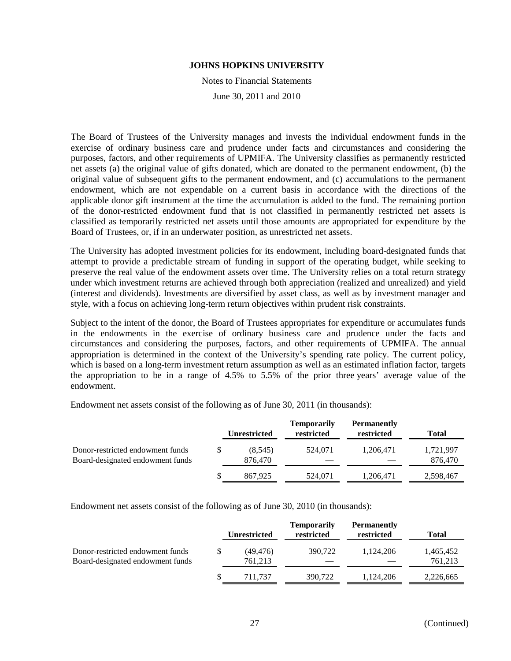Notes to Financial Statements

June 30, 2011 and 2010

The Board of Trustees of the University manages and invests the individual endowment funds in the exercise of ordinary business care and prudence under facts and circumstances and considering the purposes, factors, and other requirements of UPMIFA. The University classifies as permanently restricted net assets (a) the original value of gifts donated, which are donated to the permanent endowment, (b) the original value of subsequent gifts to the permanent endowment, and (c) accumulations to the permanent endowment, which are not expendable on a current basis in accordance with the directions of the applicable donor gift instrument at the time the accumulation is added to the fund. The remaining portion of the donor-restricted endowment fund that is not classified in permanently restricted net assets is classified as temporarily restricted net assets until those amounts are appropriated for expenditure by the Board of Trustees, or, if in an underwater position, as unrestricted net assets.

The University has adopted investment policies for its endowment, including board-designated funds that attempt to provide a predictable stream of funding in support of the operating budget, while seeking to preserve the real value of the endowment assets over time. The University relies on a total return strategy under which investment returns are achieved through both appreciation (realized and unrealized) and yield (interest and dividends). Investments are diversified by asset class, as well as by investment manager and style, with a focus on achieving long-term return objectives within prudent risk constraints.

Subject to the intent of the donor, the Board of Trustees appropriates for expenditure or accumulates funds in the endowments in the exercise of ordinary business care and prudence under the facts and circumstances and considering the purposes, factors, and other requirements of UPMIFA. The annual appropriation is determined in the context of the University's spending rate policy. The current policy, which is based on a long-term investment return assumption as well as an estimated inflation factor, targets the appropriation to be in a range of 4.5% to 5.5% of the prior three years' average value of the endowment.

Endowment net assets consist of the following as of June 30, 2011 (in thousands):

|                                                                      |   | <b>Unrestricted</b> | <b>Temporarily</b><br>restricted | <b>Permanently</b><br>restricted | Total                |
|----------------------------------------------------------------------|---|---------------------|----------------------------------|----------------------------------|----------------------|
| Donor-restricted endowment funds<br>Board-designated endowment funds |   | (8.545)<br>876,470  | 524.071                          | 1.206.471                        | 1,721,997<br>876,470 |
|                                                                      | S | 867.925             | 524,071                          | 1,206,471                        | 2,598,467            |

Endowment net assets consist of the following as of June 30, 2010 (in thousands):

|                                                                      |   | <b>Unrestricted</b>  | <b>Temporarily</b><br>restricted | <b>Permanently</b><br>restricted | Total                |
|----------------------------------------------------------------------|---|----------------------|----------------------------------|----------------------------------|----------------------|
| Donor-restricted endowment funds<br>Board-designated endowment funds | S | (49, 476)<br>761,213 | 390,722                          | 1.124.206                        | 1,465,452<br>761,213 |
|                                                                      |   | 711.737              | 390.722                          | 1.124.206                        | 2,226,665            |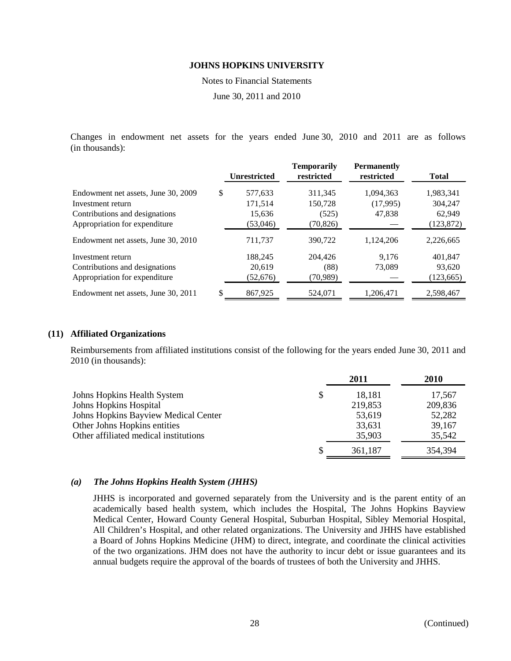Notes to Financial Statements

June 30, 2011 and 2010

Changes in endowment net assets for the years ended June 30, 2010 and 2011 are as follows (in thousands):

|                                     | <b>Unrestricted</b> | <b>Temporarily</b><br>restricted | <b>Permanently</b><br>restricted | <b>Total</b> |
|-------------------------------------|---------------------|----------------------------------|----------------------------------|--------------|
| Endowment net assets, June 30, 2009 | \$<br>577,633       | 311,345                          | 1,094,363                        | 1,983,341    |
| Investment return                   | 171.514             | 150.728                          | (17,995)                         | 304.247      |
| Contributions and designations      | 15,636              | (525)                            | 47,838                           | 62,949       |
| Appropriation for expenditure       | (53,046)            | (70, 826)                        |                                  | (123, 872)   |
| Endowment net assets, June 30, 2010 | 711.737             | 390,722                          | 1,124,206                        | 2,226,665    |
| Investment return                   | 188,245             | 204.426                          | 9.176                            | 401,847      |
| Contributions and designations      | 20,619              | (88)                             | 73,089                           | 93,620       |
| Appropriation for expenditure       | (52, 676)           | (70,989)                         |                                  | (123, 665)   |
| Endowment net assets, June 30, 2011 | \$<br>867,925       | 524,071                          | 1.206.471                        | 2,598,467    |

#### **(11) Affiliated Organizations**

Reimbursements from affiliated institutions consist of the following for the years ended June 30, 2011 and 2010 (in thousands):

|                                       | 2011         | 2010    |
|---------------------------------------|--------------|---------|
| Johns Hopkins Health System           | \$<br>18,181 | 17,567  |
| <b>Johns Hopkins Hospital</b>         | 219,853      | 209,836 |
| Johns Hopkins Bayview Medical Center  | 53,619       | 52,282  |
| Other Johns Hopkins entities          | 33,631       | 39,167  |
| Other affiliated medical institutions | 35,903       | 35,542  |
|                                       | 361,187      | 354,394 |

#### *(a) The Johns Hopkins Health System (JHHS)*

JHHS is incorporated and governed separately from the University and is the parent entity of an academically based health system, which includes the Hospital, The Johns Hopkins Bayview Medical Center, Howard County General Hospital, Suburban Hospital, Sibley Memorial Hospital, All Children's Hospital, and other related organizations. The University and JHHS have established a Board of Johns Hopkins Medicine (JHM) to direct, integrate, and coordinate the clinical activities of the two organizations. JHM does not have the authority to incur debt or issue guarantees and its annual budgets require the approval of the boards of trustees of both the University and JHHS.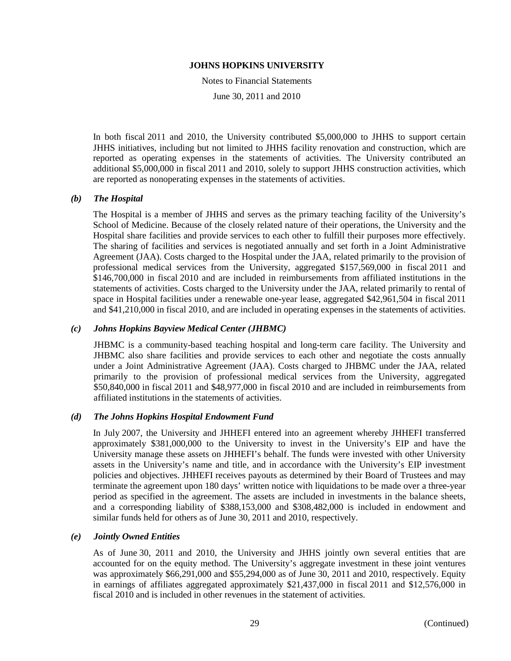Notes to Financial Statements

June 30, 2011 and 2010

In both fiscal 2011 and 2010, the University contributed \$5,000,000 to JHHS to support certain JHHS initiatives, including but not limited to JHHS facility renovation and construction, which are reported as operating expenses in the statements of activities. The University contributed an additional \$5,000,000 in fiscal 2011 and 2010, solely to support JHHS construction activities, which are reported as nonoperating expenses in the statements of activities.

#### *(b) The Hospital*

The Hospital is a member of JHHS and serves as the primary teaching facility of the University's School of Medicine. Because of the closely related nature of their operations, the University and the Hospital share facilities and provide services to each other to fulfill their purposes more effectively. The sharing of facilities and services is negotiated annually and set forth in a Joint Administrative Agreement (JAA). Costs charged to the Hospital under the JAA, related primarily to the provision of professional medical services from the University, aggregated \$157,569,000 in fiscal 2011 and \$146,700,000 in fiscal 2010 and are included in reimbursements from affiliated institutions in the statements of activities. Costs charged to the University under the JAA, related primarily to rental of space in Hospital facilities under a renewable one-year lease, aggregated \$42,961,504 in fiscal 2011 and \$41,210,000 in fiscal 2010, and are included in operating expenses in the statements of activities.

#### *(c) Johns Hopkins Bayview Medical Center (JHBMC)*

JHBMC is a community-based teaching hospital and long-term care facility. The University and JHBMC also share facilities and provide services to each other and negotiate the costs annually under a Joint Administrative Agreement (JAA). Costs charged to JHBMC under the JAA, related primarily to the provision of professional medical services from the University, aggregated \$50,840,000 in fiscal 2011 and \$48,977,000 in fiscal 2010 and are included in reimbursements from affiliated institutions in the statements of activities.

#### *(d) The Johns Hopkins Hospital Endowment Fund*

In July 2007, the University and JHHEFI entered into an agreement whereby JHHEFI transferred approximately \$381,000,000 to the University to invest in the University's EIP and have the University manage these assets on JHHEFI's behalf. The funds were invested with other University assets in the University's name and title, and in accordance with the University's EIP investment policies and objectives. JHHEFI receives payouts as determined by their Board of Trustees and may terminate the agreement upon 180 days' written notice with liquidations to be made over a three-year period as specified in the agreement. The assets are included in investments in the balance sheets, and a corresponding liability of \$388,153,000 and \$308,482,000 is included in endowment and similar funds held for others as of June 30, 2011 and 2010, respectively.

#### *(e) Jointly Owned Entities*

As of June 30, 2011 and 2010, the University and JHHS jointly own several entities that are accounted for on the equity method. The University's aggregate investment in these joint ventures was approximately \$66,291,000 and \$55,294,000 as of June 30, 2011 and 2010, respectively. Equity in earnings of affiliates aggregated approximately \$21,437,000 in fiscal 2011 and \$12,576,000 in fiscal 2010 and is included in other revenues in the statement of activities.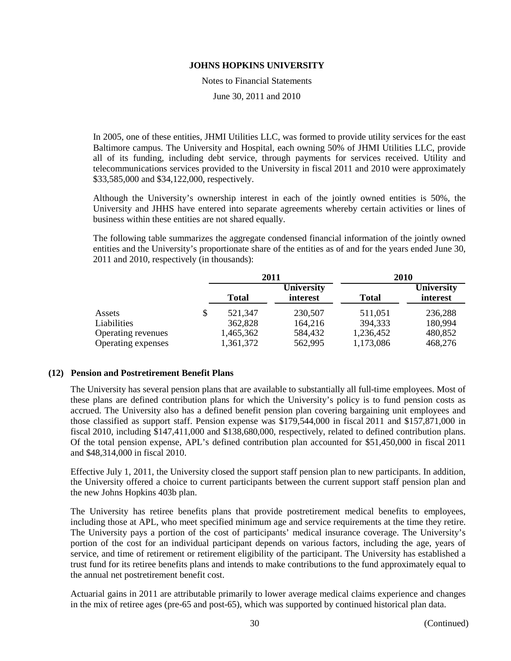Notes to Financial Statements

June 30, 2011 and 2010

In 2005, one of these entities, JHMI Utilities LLC, was formed to provide utility services for the east Baltimore campus. The University and Hospital, each owning 50% of JHMI Utilities LLC, provide all of its funding, including debt service, through payments for services received. Utility and telecommunications services provided to the University in fiscal 2011 and 2010 were approximately \$33,585,000 and \$34,122,000, respectively.

Although the University's ownership interest in each of the jointly owned entities is 50%, the University and JHHS have entered into separate agreements whereby certain activities or lines of business within these entities are not shared equally.

The following table summarizes the aggregate condensed financial information of the jointly owned entities and the University's proportionate share of the entities as of and for the years ended June 30, 2011 and 2010, respectively (in thousands):

|                    |    |              | 2011                                          | 2010      |                        |  |
|--------------------|----|--------------|-----------------------------------------------|-----------|------------------------|--|
|                    |    | <b>Total</b> | <b>University</b><br>interest<br><b>Total</b> |           | University<br>interest |  |
| Assets             | \$ | 521,347      | 230,507                                       | 511,051   | 236,288                |  |
| Liabilities        |    | 362,828      | 164,216                                       | 394,333   | 180,994                |  |
| Operating revenues |    | 1,465,362    | 584,432                                       | 1,236,452 | 480,852                |  |
| Operating expenses |    | 1,361,372    | 562,995                                       | 1,173,086 | 468,276                |  |

#### **(12) Pension and Postretirement Benefit Plans**

The University has several pension plans that are available to substantially all full-time employees. Most of these plans are defined contribution plans for which the University's policy is to fund pension costs as accrued. The University also has a defined benefit pension plan covering bargaining unit employees and those classified as support staff. Pension expense was \$179,544,000 in fiscal 2011 and \$157,871,000 in fiscal 2010, including \$147,411,000 and \$138,680,000, respectively, related to defined contribution plans. Of the total pension expense, APL's defined contribution plan accounted for \$51,450,000 in fiscal 2011 and \$48,314,000 in fiscal 2010.

Effective July 1, 2011, the University closed the support staff pension plan to new participants. In addition, the University offered a choice to current participants between the current support staff pension plan and the new Johns Hopkins 403b plan.

The University has retiree benefits plans that provide postretirement medical benefits to employees, including those at APL, who meet specified minimum age and service requirements at the time they retire. The University pays a portion of the cost of participants' medical insurance coverage. The University's portion of the cost for an individual participant depends on various factors, including the age, years of service, and time of retirement or retirement eligibility of the participant. The University has established a trust fund for its retiree benefits plans and intends to make contributions to the fund approximately equal to the annual net postretirement benefit cost.

Actuarial gains in 2011 are attributable primarily to lower average medical claims experience and changes in the mix of retiree ages (pre-65 and post-65), which was supported by continued historical plan data.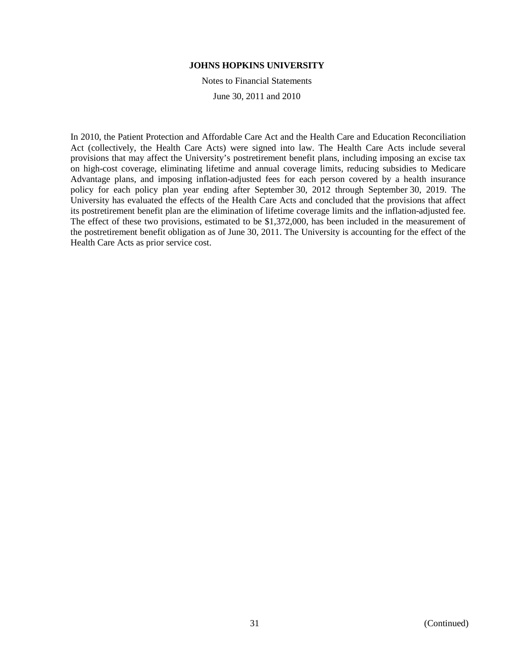Notes to Financial Statements

June 30, 2011 and 2010

In 2010, the Patient Protection and Affordable Care Act and the Health Care and Education Reconciliation Act (collectively, the Health Care Acts) were signed into law. The Health Care Acts include several provisions that may affect the University's postretirement benefit plans, including imposing an excise tax on high-cost coverage, eliminating lifetime and annual coverage limits, reducing subsidies to Medicare Advantage plans, and imposing inflation-adjusted fees for each person covered by a health insurance policy for each policy plan year ending after September 30, 2012 through September 30, 2019. The University has evaluated the effects of the Health Care Acts and concluded that the provisions that affect its postretirement benefit plan are the elimination of lifetime coverage limits and the inflation-adjusted fee. The effect of these two provisions, estimated to be \$1,372,000, has been included in the measurement of the postretirement benefit obligation as of June 30, 2011. The University is accounting for the effect of the Health Care Acts as prior service cost.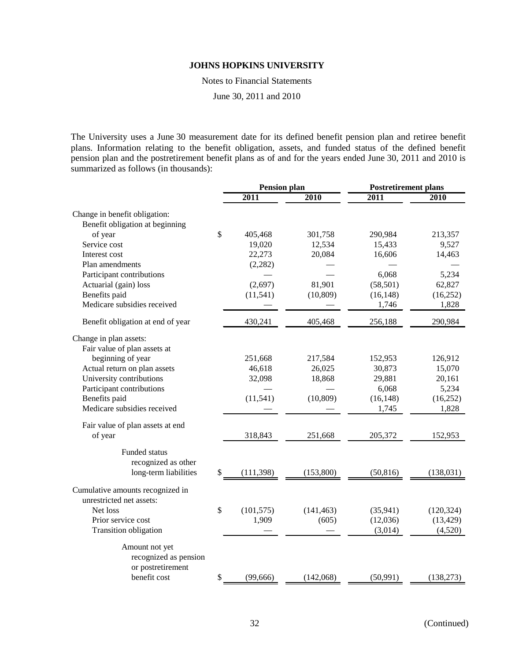Notes to Financial Statements

June 30, 2011 and 2010

The University uses a June 30 measurement date for its defined benefit pension plan and retiree benefit plans. Information relating to the benefit obligation, assets, and funded status of the defined benefit pension plan and the postretirement benefit plans as of and for the years ended June 30, 2011 and 2010 is summarized as follows (in thousands):

|                                   | <b>Pension plan</b> |            | <b>Postretirement plans</b> |            |  |
|-----------------------------------|---------------------|------------|-----------------------------|------------|--|
|                                   | 2011                | 2010       | 2011                        | 2010       |  |
| Change in benefit obligation:     |                     |            |                             |            |  |
| Benefit obligation at beginning   |                     |            |                             |            |  |
| of year                           | \$<br>405,468       | 301,758    | 290,984                     | 213,357    |  |
| Service cost                      | 19,020              | 12,534     | 15,433                      | 9,527      |  |
| Interest cost                     | 22,273              | 20,084     | 16,606                      | 14,463     |  |
| Plan amendments                   | (2, 282)            |            |                             |            |  |
| Participant contributions         |                     |            | 6,068                       | 5,234      |  |
| Actuarial (gain) loss             | (2,697)             | 81,901     | (58, 501)                   | 62,827     |  |
| Benefits paid                     | (11, 541)           | (10, 809)  | (16, 148)                   | (16, 252)  |  |
| Medicare subsidies received       |                     |            | 1,746                       | 1,828      |  |
| Benefit obligation at end of year | 430,241             | 405,468    | 256,188                     | 290,984    |  |
| Change in plan assets:            |                     |            |                             |            |  |
| Fair value of plan assets at      |                     |            |                             |            |  |
| beginning of year                 | 251,668             | 217,584    | 152,953                     | 126,912    |  |
| Actual return on plan assets      | 46,618              | 26,025     | 30,873                      | 15,070     |  |
| University contributions          | 32,098              | 18,868     | 29,881                      | 20,161     |  |
| Participant contributions         |                     |            | 6,068                       | 5,234      |  |
| Benefits paid                     | (11, 541)           | (10, 809)  | (16, 148)                   | (16, 252)  |  |
| Medicare subsidies received       |                     |            | 1,745                       | 1,828      |  |
| Fair value of plan assets at end  |                     |            |                             |            |  |
| of year                           | 318,843             | 251,668    | 205,372                     | 152,953    |  |
| <b>Funded status</b>              |                     |            |                             |            |  |
| recognized as other               |                     |            |                             |            |  |
| long-term liabilities             | \$<br>(111,398)     | (153,800)  | (50, 816)                   | (138, 031) |  |
| Cumulative amounts recognized in  |                     |            |                             |            |  |
| unrestricted net assets:          |                     |            |                             |            |  |
| Net loss                          | \$<br>(101, 575)    | (141, 463) | (35, 941)                   | (120, 324) |  |
| Prior service cost                | 1,909               | (605)      | (12,036)                    | (13, 429)  |  |
| Transition obligation             |                     |            | (3,014)                     | (4,520)    |  |
| Amount not yet                    |                     |            |                             |            |  |
| recognized as pension             |                     |            |                             |            |  |
| or postretirement                 |                     |            |                             |            |  |
| benefit cost                      | \$<br>(99, 666)     | (142,068)  | (50, 991)                   | (138, 273) |  |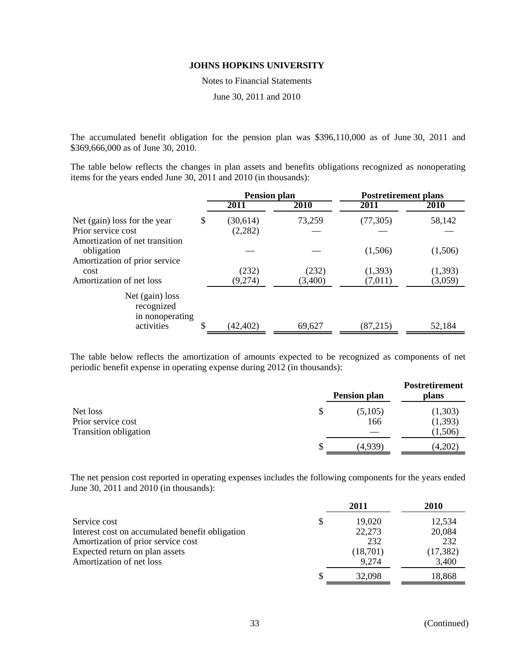Notes to Financial Statements

June 30, 2011 and 2010

The accumulated benefit obligation for the pension plan was \$396,110,000 as of June 30, 2011 and \$369,666,000 as of June 30, 2010.

The table below reflects the changes in plan assets and benefits obligations recognized as nonoperating items for the years ended June 30, 2011 and 2010 (in thousands):

|                                                                                      | <b>Pension plan</b>        |                  | <b>Postretirement plans</b> |                    |  |
|--------------------------------------------------------------------------------------|----------------------------|------------------|-----------------------------|--------------------|--|
|                                                                                      | 2011                       | 2010             | 2011                        | 2010               |  |
| Net (gain) loss for the year<br>Prior service cost<br>Amortization of net transition | \$<br>(30,614)<br>(2, 282) | 73,259           | (77, 305)                   | 58,142             |  |
| obligation<br>Amortization of prior service                                          |                            |                  | (1,506)                     | (1,506)            |  |
| cost<br>Amortization of net loss                                                     | (232)<br>(9,274)           | (232)<br>(3,400) | (1,393)<br>(7,011)          | (1,393)<br>(3,059) |  |
| Net (gain) loss<br>recognized<br>in nonoperating<br>activities                       | (42, 402)                  | 69,627           | (87,215)                    | 52,184             |  |

The table below reflects the amortization of amounts expected to be recognized as components of net periodic benefit expense in operating expense during 2012 (in thousands):

|                              | <b>Pension plan</b> | Postretirement<br>plans |          |
|------------------------------|---------------------|-------------------------|----------|
| Net loss                     | \$                  | (5,105)                 | (1,303)  |
| Prior service cost           |                     | 166                     | (1, 393) |
| <b>Transition obligation</b> |                     |                         | (1,506)  |
|                              |                     | (4,939)                 | (4,202)  |

The net pension cost reported in operating expenses includes the following components for the years ended June 30, 2011 and 2010 (in thousands):

|                                                 | 2011         | <b>2010</b> |
|-------------------------------------------------|--------------|-------------|
| Service cost                                    | \$<br>19,020 | 12,534      |
| Interest cost on accumulated benefit obligation | 22,273       | 20,084      |
| Amortization of prior service cost              | 232          | 232         |
| Expected return on plan assets                  | (18,701)     | (17, 382)   |
| Amortization of net loss                        | 9.274        | 3,400       |
|                                                 | 32,098       | 18,868      |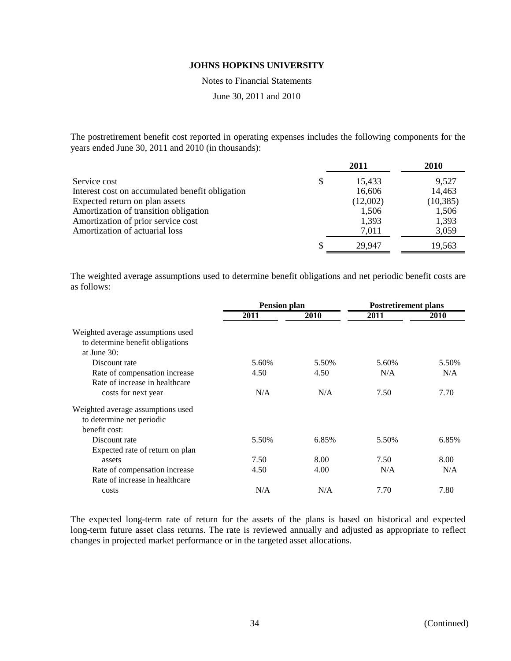Notes to Financial Statements

June 30, 2011 and 2010

The postretirement benefit cost reported in operating expenses includes the following components for the years ended June 30, 2011 and 2010 (in thousands):

|                                                 | 2011         | 2010      |
|-------------------------------------------------|--------------|-----------|
| Service cost                                    | \$<br>15,433 | 9,527     |
| Interest cost on accumulated benefit obligation | 16,606       | 14,463    |
| Expected return on plan assets                  | (12,002)     | (10, 385) |
| Amortization of transition obligation           | 1,506        | 1,506     |
| Amortization of prior service cost              | 1,393        | 1,393     |
| Amortization of actuarial loss                  | 7.011        | 3,059     |
|                                                 | 29.947       | 19,563    |

The weighted average assumptions used to determine benefit obligations and net periodic benefit costs are as follows:

|                                                                                         | <b>Pension plan</b> |       | <b>Postretirement plans</b> |             |  |
|-----------------------------------------------------------------------------------------|---------------------|-------|-----------------------------|-------------|--|
|                                                                                         | 2011                | 2010  | 2011                        | <b>2010</b> |  |
| Weighted average assumptions used<br>to determine benefit obligations<br>at June $30$ : |                     |       |                             |             |  |
| Discount rate                                                                           | 5.60%               | 5.50% | 5.60%                       | 5.50%       |  |
| Rate of compensation increase                                                           | 4.50                | 4.50  | N/A                         | N/A         |  |
| Rate of increase in healthcare                                                          |                     |       |                             |             |  |
| costs for next year                                                                     | N/A                 | N/A   | 7.50                        | 7.70        |  |
| Weighted average assumptions used<br>to determine net periodic<br>benefit cost:         |                     |       |                             |             |  |
| Discount rate                                                                           | 5.50%               | 6.85% | 5.50%                       | 6.85%       |  |
| Expected rate of return on plan                                                         |                     |       |                             |             |  |
| assets                                                                                  | 7.50                | 8.00  | 7.50                        | 8.00        |  |
| Rate of compensation increase                                                           | 4.50                | 4.00  | N/A                         | N/A         |  |
| Rate of increase in healthcare                                                          |                     |       |                             |             |  |
| costs                                                                                   | N/A                 | N/A   | 7.70                        | 7.80        |  |

The expected long-term rate of return for the assets of the plans is based on historical and expected long-term future asset class returns. The rate is reviewed annually and adjusted as appropriate to reflect changes in projected market performance or in the targeted asset allocations.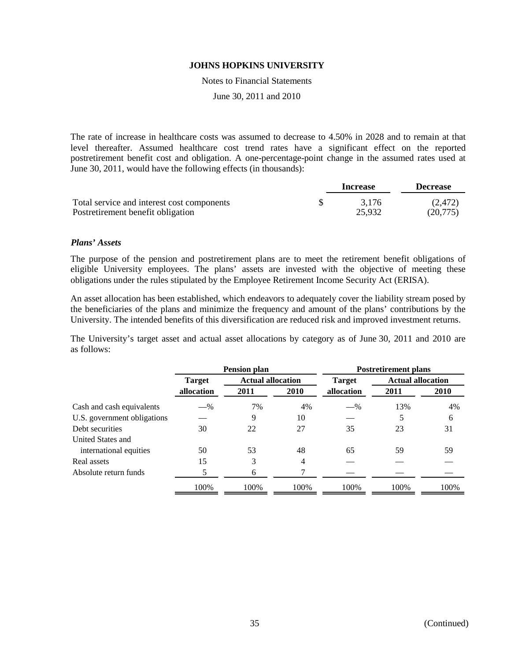Notes to Financial Statements

June 30, 2011 and 2010

The rate of increase in healthcare costs was assumed to decrease to 4.50% in 2028 and to remain at that level thereafter. Assumed healthcare cost trend rates have a significant effect on the reported postretirement benefit cost and obligation. A one-percentage-point change in the assumed rates used at June 30, 2011, would have the following effects (in thousands):

|                                            | Increase | <b>Decrease</b> |  |
|--------------------------------------------|----------|-----------------|--|
| Total service and interest cost components | 3.176    | (2.472)         |  |
| Postretirement benefit obligation          | 25,932   | (20.775)        |  |

#### *Plans' Assets*

The purpose of the pension and postretirement plans are to meet the retirement benefit obligations of eligible University employees. The plans' assets are invested with the objective of meeting these obligations under the rules stipulated by the Employee Retirement Income Security Act (ERISA).

An asset allocation has been established, which endeavors to adequately cover the liability stream posed by the beneficiaries of the plans and minimize the frequency and amount of the plans' contributions by the University. The intended benefits of this diversification are reduced risk and improved investment returns.

The University's target asset and actual asset allocations by category as of June 30, 2011 and 2010 are as follows:

|                             | <b>Pension plan</b> |                          |      | <b>Postretirement plans</b> |                          |             |
|-----------------------------|---------------------|--------------------------|------|-----------------------------|--------------------------|-------------|
|                             | <b>Target</b>       | <b>Actual allocation</b> |      | <b>Target</b>               | <b>Actual allocation</b> |             |
|                             | allocation          | 2011                     | 2010 | allocation                  | 2011                     | <b>2010</b> |
| Cash and cash equivalents   | $-$ %               | 7%                       | 4%   | $-$ %                       | 13%                      | 4%          |
| U.S. government obligations |                     | 9                        | 10   |                             | 5                        | 6           |
| Debt securities             | 30                  | 22                       | 27   | 35                          | 23                       | 31          |
| United States and           |                     |                          |      |                             |                          |             |
| international equities      | 50                  | 53                       | 48   | 65                          | 59                       | 59          |
| Real assets                 | 15                  | 3                        | 4    |                             |                          |             |
| Absolute return funds       |                     | 6                        |      |                             |                          |             |
|                             | 100%                | 100%                     | 100% | 100%                        | 100%                     | 100%        |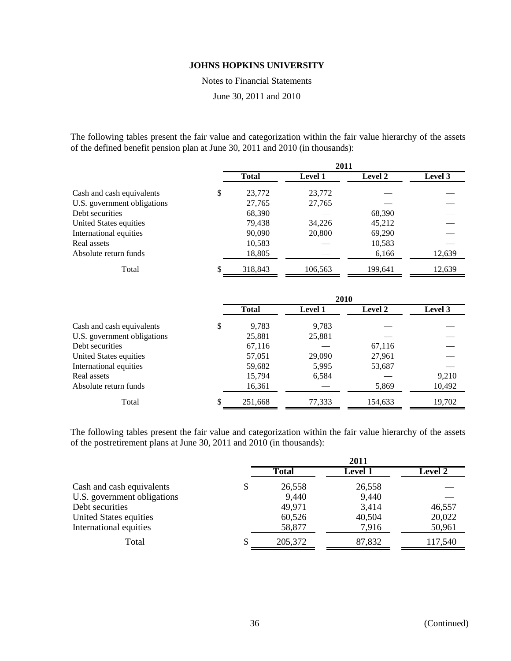Notes to Financial Statements

June 30, 2011 and 2010

The following tables present the fair value and categorization within the fair value hierarchy of the assets of the defined benefit pension plan at June 30, 2011 and 2010 (in thousands):

|                             |    | 2011         |                |                |         |  |
|-----------------------------|----|--------------|----------------|----------------|---------|--|
|                             |    | <b>Total</b> | <b>Level 1</b> | <b>Level 2</b> | Level 3 |  |
| Cash and cash equivalents   | \$ | 23,772       | 23,772         |                |         |  |
| U.S. government obligations |    | 27,765       | 27,765         |                |         |  |
| Debt securities             |    | 68,390       |                | 68,390         |         |  |
| United States equities      |    | 79,438       | 34,226         | 45,212         |         |  |
| International equities      |    | 90,090       | 20,800         | 69,290         |         |  |
| Real assets                 |    | 10,583       |                | 10,583         |         |  |
| Absolute return funds       |    | 18,805       |                | 6,166          | 12,639  |  |
| Total                       | S  | 318,843      | 106,563        | 199,641        | 12,639  |  |

|                             | 2010 |              |                |                |         |
|-----------------------------|------|--------------|----------------|----------------|---------|
|                             |      | <b>Total</b> | <b>Level 1</b> | <b>Level 2</b> | Level 3 |
| Cash and cash equivalents   | \$   | 9,783        | 9,783          |                |         |
| U.S. government obligations |      | 25,881       | 25,881         |                |         |
| Debt securities             |      | 67,116       |                | 67,116         |         |
| United States equities      |      | 57,051       | 29,090         | 27,961         |         |
| International equities      |      | 59,682       | 5,995          | 53,687         |         |
| Real assets                 |      | 15,794       | 6,584          |                | 9,210   |
| Absolute return funds       |      | 16,361       |                | 5,869          | 10,492  |
| Total                       | S    | 251,668      | 77,333         | 154,633        | 19,702  |

The following tables present the fair value and categorization within the fair value hierarchy of the assets of the postretirement plans at June 30, 2011 and 2010 (in thousands):

|                             | 2011 |              |                |                |  |
|-----------------------------|------|--------------|----------------|----------------|--|
|                             |      | <b>Total</b> | <b>Level 1</b> | <b>Level 2</b> |  |
| Cash and cash equivalents   |      | 26,558       | 26,558         |                |  |
| U.S. government obligations |      | 9,440        | 9,440          |                |  |
| Debt securities             |      | 49,971       | 3,414          | 46,557         |  |
| United States equities      |      | 60,526       | 40,504         | 20,022         |  |
| International equities      |      | 58,877       | 7,916          | 50,961         |  |
| Total                       |      | 205,372      | 87,832         | 117,540        |  |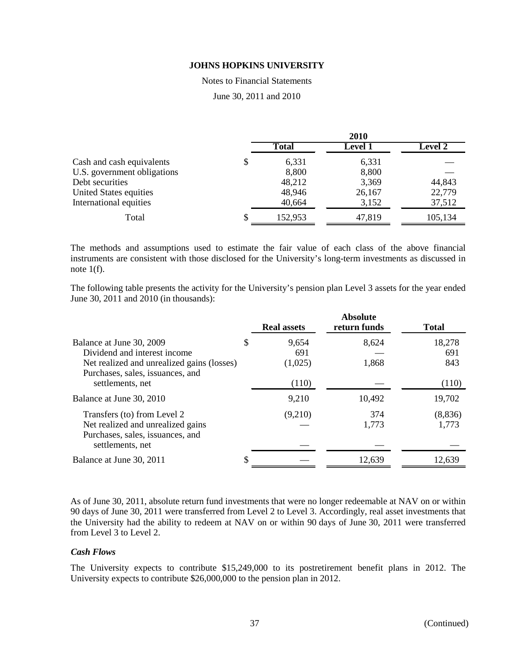#### Notes to Financial Statements

June 30, 2011 and 2010

|                             | 2010 |         |                |                |
|-----------------------------|------|---------|----------------|----------------|
|                             |      | Total   | <b>Level 1</b> | <b>Level 2</b> |
| Cash and cash equivalents   | S    | 6,331   | 6,331          |                |
| U.S. government obligations |      | 8,800   | 8,800          |                |
| Debt securities             |      | 48,212  | 3,369          | 44,843         |
| United States equities      |      | 48,946  | 26,167         | 22,779         |
| International equities      |      | 40,664  | 3,152          | 37,512         |
| Total                       |      | 152,953 | 47,819         | 105,134        |

The methods and assumptions used to estimate the fair value of each class of the above financial instruments are consistent with those disclosed for the University's long-term investments as discussed in note  $1(f)$ .

The following table presents the activity for the University's pension plan Level 3 assets for the year ended June 30, 2011 and 2010 (in thousands):

|                                                                                                                                            | <b>Real assets</b>            | <b>Absolute</b><br>return funds | <b>Total</b>         |
|--------------------------------------------------------------------------------------------------------------------------------------------|-------------------------------|---------------------------------|----------------------|
| Balance at June 30, 2009<br>Dividend and interest income<br>Net realized and unrealized gains (losses)<br>Purchases, sales, issuances, and | \$<br>9,654<br>691<br>(1,025) | 8,624<br>1,868                  | 18,278<br>691<br>843 |
| settlements, net<br>Balance at June 30, 2010                                                                                               | (110)<br>9,210                | 10,492                          | (110)<br>19,702      |
| Transfers (to) from Level 2<br>Net realized and unrealized gains<br>Purchases, sales, issuances, and<br>settlements, net                   | (9,210)                       | 374<br>1,773                    | (8,836)<br>1,773     |
| Balance at June 30, 2011                                                                                                                   |                               | 12,639                          | 12,639               |

As of June 30, 2011, absolute return fund investments that were no longer redeemable at NAV on or within 90 days of June 30, 2011 were transferred from Level 2 to Level 3. Accordingly, real asset investments that the University had the ability to redeem at NAV on or within 90 days of June 30, 2011 were transferred from Level 3 to Level 2.

#### *Cash Flows*

The University expects to contribute \$15,249,000 to its postretirement benefit plans in 2012. The University expects to contribute \$26,000,000 to the pension plan in 2012.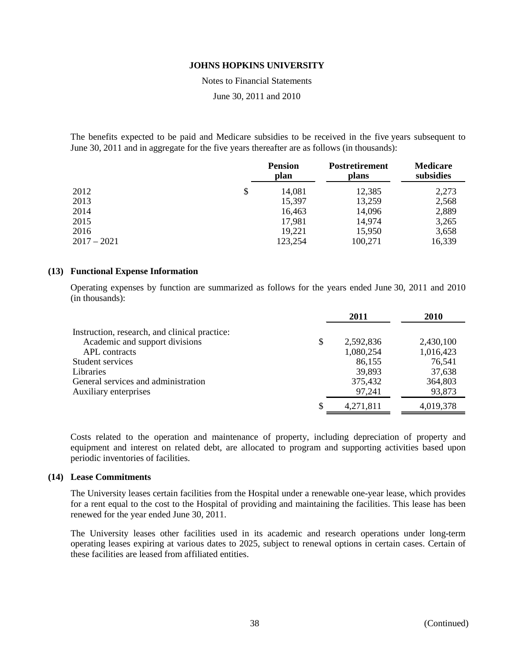Notes to Financial Statements

June 30, 2011 and 2010

The benefits expected to be paid and Medicare subsidies to be received in the five years subsequent to June 30, 2011 and in aggregate for the five years thereafter are as follows (in thousands):

|               | <b>Pension</b><br>plan | Postretirement<br>plans | <b>Medicare</b><br>subsidies |  |
|---------------|------------------------|-------------------------|------------------------------|--|
| 2012          | \$<br>14,081           | 12,385                  | 2,273                        |  |
| 2013          | 15,397                 | 13,259                  | 2,568                        |  |
| 2014          | 16,463                 | 14,096                  | 2,889                        |  |
| 2015          | 17,981                 | 14,974                  | 3,265                        |  |
| 2016          | 19,221                 | 15,950                  | 3,658                        |  |
| $2017 - 2021$ | 123,254                | 100,271                 | 16,339                       |  |

#### **(13) Functional Expense Information**

Operating expenses by function are summarized as follows for the years ended June 30, 2011 and 2010 (in thousands):

|                                               | 2011            | 2010      |
|-----------------------------------------------|-----------------|-----------|
| Instruction, research, and clinical practice: |                 |           |
| Academic and support divisions                | \$<br>2,592,836 | 2,430,100 |
| APL contracts                                 | 1,080,254       | 1,016,423 |
| Student services                              | 86,155          | 76,541    |
| <b>Libraries</b>                              | 39,893          | 37,638    |
| General services and administration           | 375,432         | 364,803   |
| Auxiliary enterprises                         | 97,241          | 93,873    |
|                                               | 4,271,811       | 4,019,378 |

Costs related to the operation and maintenance of property, including depreciation of property and equipment and interest on related debt, are allocated to program and supporting activities based upon periodic inventories of facilities.

#### **(14) Lease Commitments**

The University leases certain facilities from the Hospital under a renewable one-year lease, which provides for a rent equal to the cost to the Hospital of providing and maintaining the facilities. This lease has been renewed for the year ended June 30, 2011.

The University leases other facilities used in its academic and research operations under long-term operating leases expiring at various dates to 2025, subject to renewal options in certain cases. Certain of these facilities are leased from affiliated entities.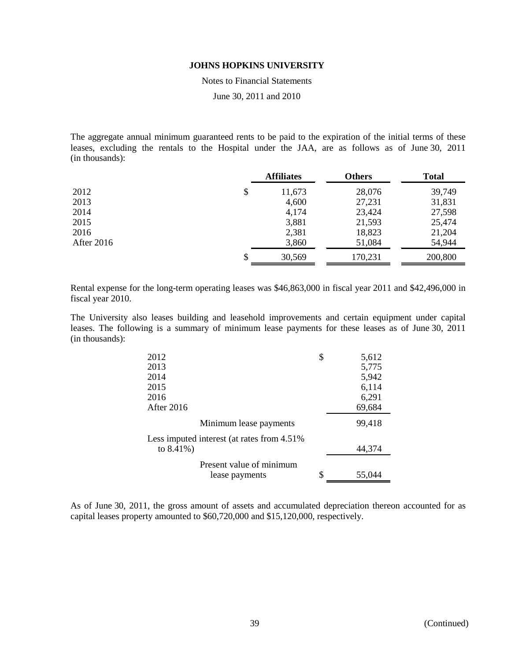Notes to Financial Statements

June 30, 2011 and 2010

The aggregate annual minimum guaranteed rents to be paid to the expiration of the initial terms of these leases, excluding the rentals to the Hospital under the JAA, are as follows as of June 30, 2011 (in thousands):

|                   | <b>Affiliates</b> |         | <b>Total</b> |  |
|-------------------|-------------------|---------|--------------|--|
| 2012              | \$<br>11,673      | 28,076  | 39,749       |  |
| 2013              | 4,600             | 27,231  | 31,831       |  |
| 2014              | 4,174             | 23,424  | 27,598       |  |
| 2015              | 3,881             | 21,593  | 25,474       |  |
| 2016              | 2,381             | 18,823  | 21,204       |  |
| <b>After 2016</b> | 3,860             | 51,084  | 54,944       |  |
|                   | \$<br>30,569      | 170,231 | 200,800      |  |

Rental expense for the long-term operating leases was \$46,863,000 in fiscal year 2011 and \$42,496,000 in fiscal year 2010.

The University also leases building and leasehold improvements and certain equipment under capital leases. The following is a summary of minimum lease payments for these leases as of June 30, 2011 (in thousands):

| 2012                                        | \$<br>5,612  |
|---------------------------------------------|--------------|
| 2013                                        | 5,775        |
| 2014                                        | 5,942        |
| 2015                                        | 6,114        |
| 2016                                        | 6,291        |
| After 2016                                  | 69,684       |
| Minimum lease payments                      | 99,418       |
| Less imputed interest (at rates from 4.51%) |              |
| to $8.41\%$ )                               | 44,374       |
| Present value of minimum                    |              |
| lease payments                              | \$<br>55,044 |

As of June 30, 2011, the gross amount of assets and accumulated depreciation thereon accounted for as capital leases property amounted to \$60,720,000 and \$15,120,000, respectively.